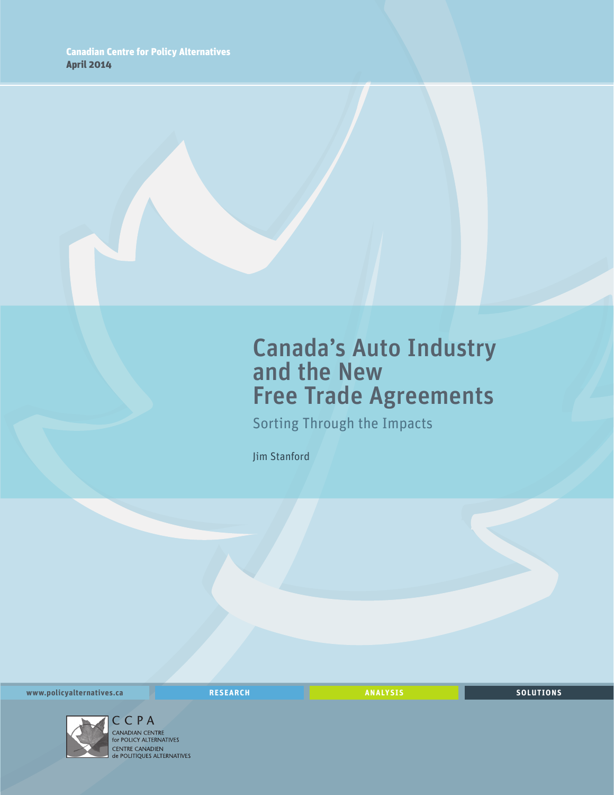## Canada's Auto Industry and the New Free Trade Agreements

Sorting Through the Impacts

Jim Stanford

**www.policyalternatives.ca RESEARCH ANALYSIS SOLUTIONS**



CPA CANADIAN CENTRE<br>for POLICY ALTERNATIVES CENTRE CANADIEN<br> **CENTRE CANADIEN<br>
de POLITIQUES ALTERNATIVES**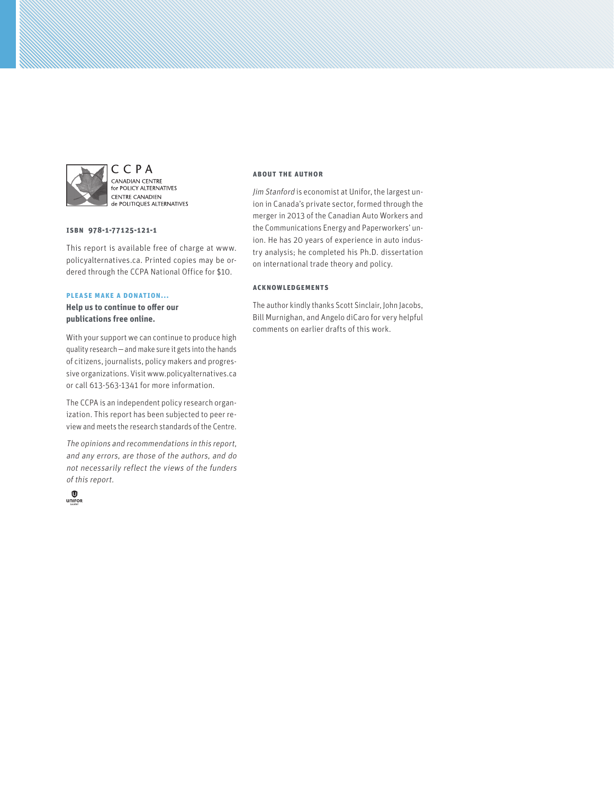

C C P A CANADIAN CENTRE **EXEMPLIER CENTRE**<br>For POLICY ALTERNATIVES **CENTRE CANADIEN** de POLITIQUES ALTERNATIVES

#### **ISBN 978-1-77125-121-1**

This report is available free of charge at www. policyalternatives.ca. Printed copies may be ordered through the CCPA National Office for \$10.

#### **Please make a donation...**

**Help us to continue to offer our publications free online.**

With your support we can continue to produce high quality research—and make sure it gets into the hands of citizens, journalists, policy makers and progressive organizations. Visit www.policyalternatives.ca or call 613-563-1341 for more information.

The CCPA is an independent policy research organization. This report has been subjected to peer review and meets the research standards of the Centre.

The opinions and recommendations in this report, and any errors, are those of the authors, and do not necessarily reflect the views of the funders of this report.



#### **About the author**

Jim Stanford is economist at Unifor, the largest union in Canada's private sector, formed through the merger in 2013 of the Canadian Auto Workers and the Communications Energy and Paperworkers' union. He has 20 years of experience in auto industry analysis; he completed his Ph.D. dissertation on international trade theory and policy.

#### **Acknowledgements**

The author kindly thanks Scott Sinclair, John Jacobs, Bill Murnighan, and Angelo diCaro for very helpful comments on earlier drafts of this work.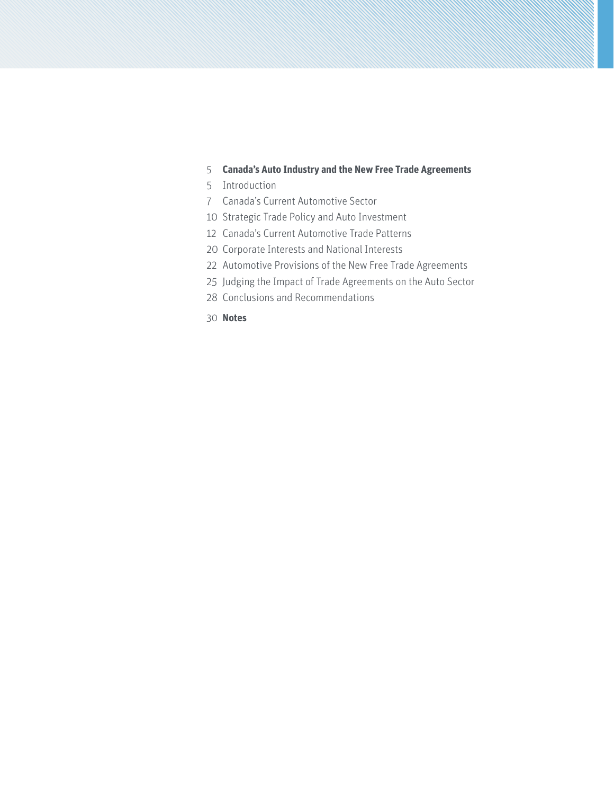#### **[Canada's Auto Industry and the New Free Trade Agreements](#page-4-0)**

- [Introduction](#page-4-0)
- [Canada's Current Automotive Sector](#page-6-0)
- [Strategic Trade Policy and Auto Investment](#page-9-0)
- [Canada's Current Automotive Trade Patterns](#page-11-0)
- [Corporate Interests and National Interests](#page-19-0)
- [Automotive Provisions of the New Free Trade Agreements](#page-21-0)
- [Judging the Impact of Trade Agreements on the Auto Sector](#page-24-0)
- [Conclusions and Recommendations](#page-27-0)
- **[Notes](#page-29-0)**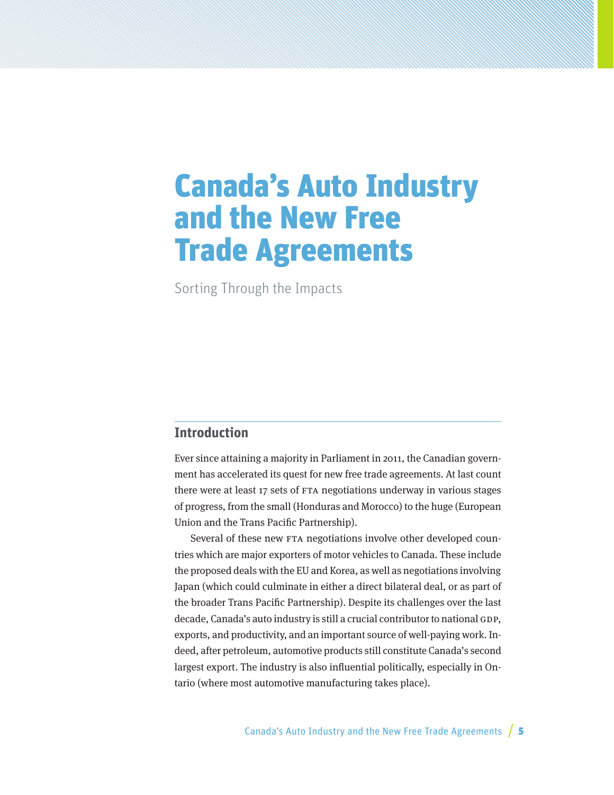# <span id="page-4-0"></span>Canada's Auto Industry and the New Free Trade Agreements

Sorting Through the Impacts

### **Introduction**

Ever since attaining a majority in Parliament in 2011, the Canadian government has accelerated its quest for new free trade agreements. At last count there were at least 17 sets of FTA negotiations underway in various stages of progress, from the small (Honduras and Morocco) to the huge (European Union and the Trans Pacific Partnership).

Several of these new FTA negotiations involve other developed countries which are major exporters of motor vehicles to Canada. These include the proposed deals with the EU and Korea, as well as negotiations involving Japan (which could culminate in either a direct bilateral deal, or as part of the broader Trans Pacific Partnership). Despite its challenges over the last decade, Canada's auto industry is still a crucial contributor to national GDP, exports, and productivity, and an important source of well-paying work. Indeed, after petroleum, automotive products still constitute Canada's second largest export. The industry is also influential politically, especially in Ontario (where most automotive manufacturing takes place).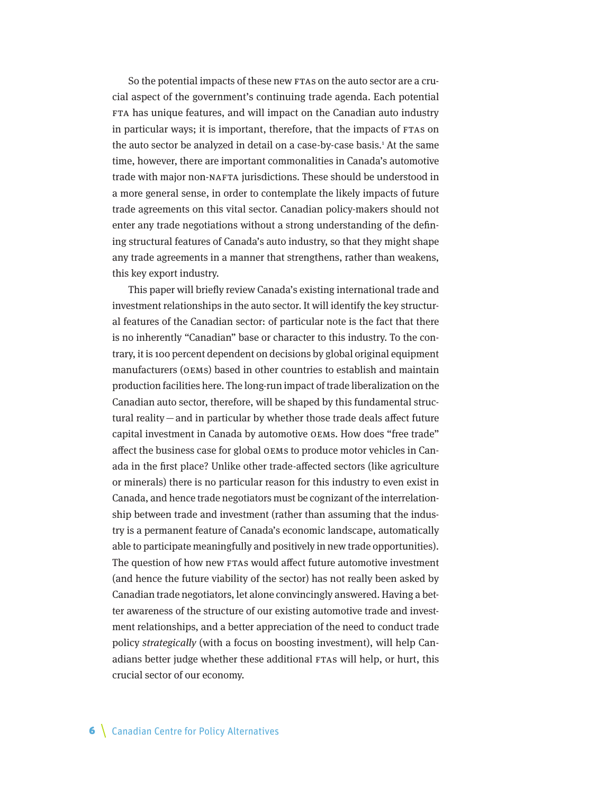So the potential impacts of these new FTAs on the auto sector are a crucial aspect of the government's continuing trade agenda. Each potential FTA has unique features, and will impact on the Canadian auto industry in particular ways; it is important, therefore, that the impacts of FTAs on the auto sector be analyzed in detail on a case-by-case basis.<sup>1</sup> At the same time, however, there are important commonalities in Canada's automotive trade with major non-NAFTA jurisdictions. These should be understood in a more general sense, in order to contemplate the likely impacts of future trade agreements on this vital sector. Canadian policy-makers should not enter any trade negotiations without a strong understanding of the defining structural features of Canada's auto industry, so that they might shape any trade agreements in a manner that strengthens, rather than weakens, this key export industry.

This paper will briefly review Canada's existing international trade and investment relationships in the auto sector. It will identify the key structural features of the Canadian sector: of particular note is the fact that there is no inherently "Canadian" base or character to this industry. To the contrary, it is 100 percent dependent on decisions by global original equipment manufacturers (OEMs) based in other countries to establish and maintain production facilities here. The long-run impact of trade liberalization on the Canadian auto sector, therefore, will be shaped by this fundamental structural reality—and in particular by whether those trade deals affect future capital investment in Canada by automotive OEMs. How does "free trade" affect the business case for global OEMs to produce motor vehicles in Canada in the first place? Unlike other trade-affected sectors (like agriculture or minerals) there is no particular reason for this industry to even exist in Canada, and hence trade negotiators must be cognizant of the interrelationship between trade and investment (rather than assuming that the industry is a permanent feature of Canada's economic landscape, automatically able to participate meaningfully and positively in new trade opportunities). The question of how new FTAs would affect future automotive investment (and hence the future viability of the sector) has not really been asked by Canadian trade negotiators, let alone convincingly answered. Having a better awareness of the structure of our existing automotive trade and investment relationships, and a better appreciation of the need to conduct trade policy strategically (with a focus on boosting investment), will help Canadians better judge whether these additional FTAs will help, or hurt, this crucial sector of our economy.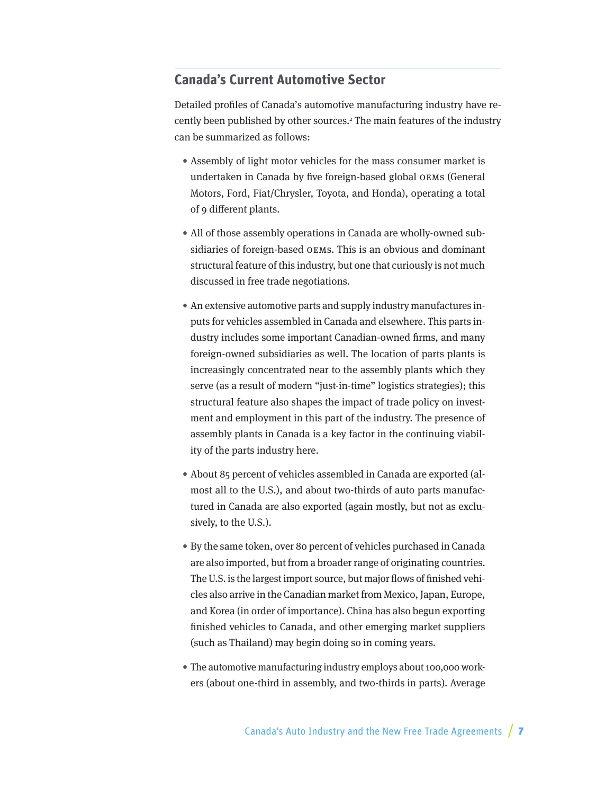### <span id="page-6-0"></span>**Canada's Current Automotive Sector**

Detailed profiles of Canada's automotive manufacturing industry have recently been published by other sources.<sup>2</sup> The main features of the industry can be summarized as follows:

- Assembly of light motor vehicles for the mass consumer market is undertaken in Canada by five foreign-based global OEMs (General Motors, Ford, Fiat/Chrysler, Toyota, and Honda), operating a total of 9 different plants.
- All of those assembly operations in Canada are wholly-owned subsidiaries of foreign-based OEMs. This is an obvious and dominant structural feature of this industry, but one that curiously is not much discussed in free trade negotiations.
- An extensive automotive parts and supply industry manufactures inputs for vehicles assembled in Canada and elsewhere. This parts industry includes some important Canadian-owned firms, and many foreign-owned subsidiaries as well. The location of parts plants is increasingly concentrated near to the assembly plants which they serve (as a result of modern "just-in-time" logistics strategies); this structural feature also shapes the impact of trade policy on investment and employment in this part of the industry. The presence of assembly plants in Canada is a key factor in the continuing viability of the parts industry here.
- About 85 percent of vehicles assembled in Canada are exported (almost all to the U.S.), and about two-thirds of auto parts manufactured in Canada are also exported (again mostly, but not as exclusively, to the U.S.).
- By the same token, over 80 percent of vehicles purchased in Canada are also imported, but from a broader range of originating countries. The U.S. is the largest import source, but major flows of finished vehicles also arrive in the Canadian market from Mexico, Japan, Europe, and Korea (in order of importance). China has also begun exporting finished vehicles to Canada, and other emerging market suppliers (such as Thailand) may begin doing so in coming years.
- The automotive manufacturing industry employs about 100,000 workers (about one-third in assembly, and two-thirds in parts). Average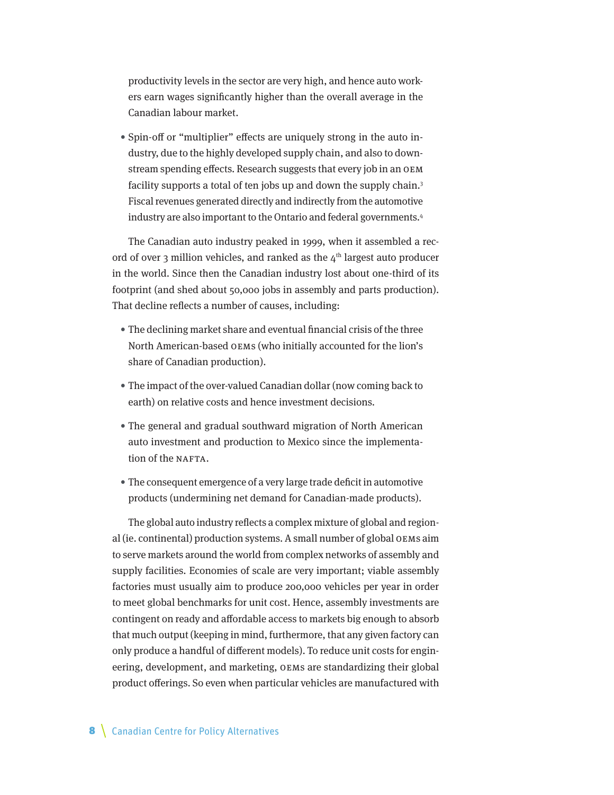productivity levels in the sector are very high, and hence auto workers earn wages significantly higher than the overall average in the Canadian labour market.

• Spin-off or "multiplier" effects are uniquely strong in the auto industry, due to the highly developed supply chain, and also to downstream spending effects. Research suggests that every job in an OEM facility supports a total of ten jobs up and down the supply chain.<sup>3</sup> Fiscal revenues generated directly and indirectly from the automotive industry are also important to the Ontario and federal governments.4

The Canadian auto industry peaked in 1999, when it assembled a record of over 3 million vehicles, and ranked as the  $4<sup>th</sup>$  largest auto producer in the world. Since then the Canadian industry lost about one-third of its footprint (and shed about 50,000 jobs in assembly and parts production). That decline reflects a number of causes, including:

- The declining market share and eventual financial crisis of the three North American-based OEMs (who initially accounted for the lion's share of Canadian production).
- The impact of the over-valued Canadian dollar (now coming back to earth) on relative costs and hence investment decisions.
- The general and gradual southward migration of North American auto investment and production to Mexico since the implementation of the NAFTA.
- The consequent emergence of a very large trade deficit in automotive products (undermining net demand for Canadian-made products).

The global auto industry reflects a complex mixture of global and regional (ie. continental) production systems. A small number of global OEMs aim to serve markets around the world from complex networks of assembly and supply facilities. Economies of scale are very important; viable assembly factories must usually aim to produce 200,000 vehicles per year in order to meet global benchmarks for unit cost. Hence, assembly investments are contingent on ready and affordable access to markets big enough to absorb that much output (keeping in mind, furthermore, that any given factory can only produce a handful of different models). To reduce unit costs for engineering, development, and marketing, OEMs are standardizing their global product offerings. So even when particular vehicles are manufactured with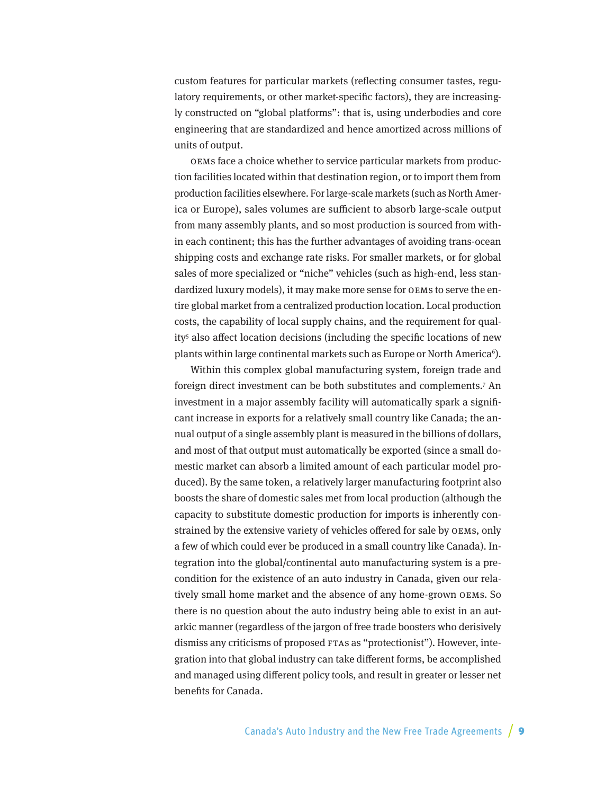custom features for particular markets (reflecting consumer tastes, regulatory requirements, or other market-specific factors), they are increasingly constructed on "global platforms": that is, using underbodies and core engineering that are standardized and hence amortized across millions of units of output.

OEMs face a choice whether to service particular markets from production facilities located within that destination region, or to import them from production facilities elsewhere. For large-scale markets (such as North America or Europe), sales volumes are sufficient to absorb large-scale output from many assembly plants, and so most production is sourced from within each continent; this has the further advantages of avoiding trans-ocean shipping costs and exchange rate risks. For smaller markets, or for global sales of more specialized or "niche" vehicles (such as high-end, less standardized luxury models), it may make more sense for OEMs to serve the entire global market from a centralized production location. Local production costs, the capability of local supply chains, and the requirement for quality<sup>5</sup> also affect location decisions (including the specific locations of new plants within large continental markets such as Europe or North America $^6$ ).

Within this complex global manufacturing system, foreign trade and foreign direct investment can be both substitutes and complements.7 An investment in a major assembly facility will automatically spark a significant increase in exports for a relatively small country like Canada; the annual output of a single assembly plant is measured in the billions of dollars, and most of that output must automatically be exported (since a small domestic market can absorb a limited amount of each particular model produced). By the same token, a relatively larger manufacturing footprint also boosts the share of domestic sales met from local production (although the capacity to substitute domestic production for imports is inherently constrained by the extensive variety of vehicles offered for sale by OEMs, only a few of which could ever be produced in a small country like Canada). Integration into the global/continental auto manufacturing system is a precondition for the existence of an auto industry in Canada, given our relatively small home market and the absence of any home-grown OEMs. So there is no question about the auto industry being able to exist in an autarkic manner (regardless of the jargon of free trade boosters who derisively dismiss any criticisms of proposed FTAs as "protectionist"). However, integration into that global industry can take different forms, be accomplished and managed using different policy tools, and result in greater or lesser net benefits for Canada.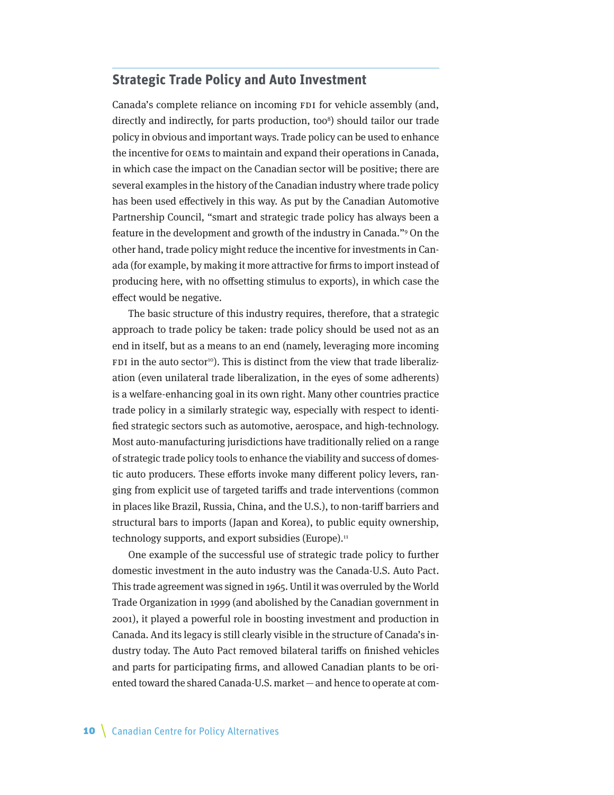## <span id="page-9-0"></span>**Strategic Trade Policy and Auto Investment**

Canada's complete reliance on incoming FDI for vehicle assembly (and, directly and indirectly, for parts production, too<sup>8</sup>) should tailor our trade policy in obvious and important ways. Trade policy can be used to enhance the incentive for OEMs to maintain and expand their operations in Canada, in which case the impact on the Canadian sector will be positive; there are several examples in the history of the Canadian industry where trade policy has been used effectively in this way. As put by the Canadian Automotive Partnership Council, "smart and strategic trade policy has always been a feature in the development and growth of the industry in Canada."9 On the other hand, trade policy might reduce the incentive for investments in Canada (for example, by making it more attractive for firms to import instead of producing here, with no offsetting stimulus to exports), in which case the effect would be negative.

The basic structure of this industry requires, therefore, that a strategic approach to trade policy be taken: trade policy should be used not as an end in itself, but as a means to an end (namely, leveraging more incoming FDI in the auto sector<sup>10</sup>). This is distinct from the view that trade liberalization (even unilateral trade liberalization, in the eyes of some adherents) is a welfare-enhancing goal in its own right. Many other countries practice trade policy in a similarly strategic way, especially with respect to identified strategic sectors such as automotive, aerospace, and high-technology. Most auto-manufacturing jurisdictions have traditionally relied on a range of strategic trade policy tools to enhance the viability and success of domestic auto producers. These efforts invoke many different policy levers, ranging from explicit use of targeted tariffs and trade interventions (common in places like Brazil, Russia, China, and the U.S.), to non-tariff barriers and structural bars to imports (Japan and Korea), to public equity ownership, technology supports, and export subsidies (Europe).<sup>11</sup>

One example of the successful use of strategic trade policy to further domestic investment in the auto industry was the Canada-U.S. Auto Pact. This trade agreement was signed in 1965. Until it was overruled by the World Trade Organization in 1999 (and abolished by the Canadian government in 2001), it played a powerful role in boosting investment and production in Canada. And its legacy is still clearly visible in the structure of Canada's industry today. The Auto Pact removed bilateral tariffs on finished vehicles and parts for participating firms, and allowed Canadian plants to be oriented toward the shared Canada-U.S. market—and hence to operate at com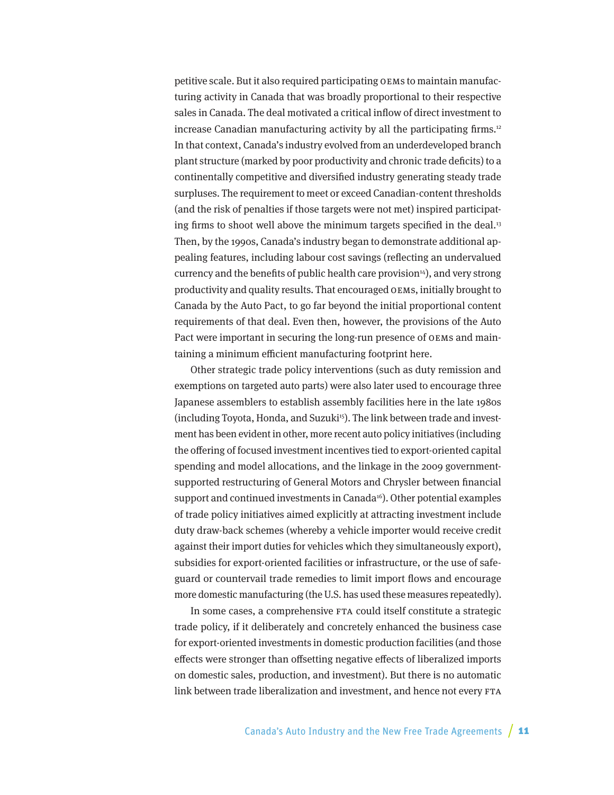petitive scale. But it also required participating OEMs to maintain manufacturing activity in Canada that was broadly proportional to their respective sales in Canada. The deal motivated a critical inflow of direct investment to increase Canadian manufacturing activity by all the participating firms.<sup>12</sup> In that context, Canada's industry evolved from an underdeveloped branch plant structure (marked by poor productivity and chronic trade deficits) to a continentally competitive and diversified industry generating steady trade surpluses. The requirement to meet or exceed Canadian-content thresholds (and the risk of penalties if those targets were not met) inspired participating firms to shoot well above the minimum targets specified in the deal.<sup>13</sup> Then, by the 1990s, Canada's industry began to demonstrate additional appealing features, including labour cost savings (reflecting an undervalued currency and the benefits of public health care provision $14$ ), and very strong productivity and quality results. That encouraged OEMs, initially brought to Canada by the Auto Pact, to go far beyond the initial proportional content requirements of that deal. Even then, however, the provisions of the Auto Pact were important in securing the long-run presence of OEMs and maintaining a minimum efficient manufacturing footprint here.

Other strategic trade policy interventions (such as duty remission and exemptions on targeted auto parts) were also later used to encourage three Japanese assemblers to establish assembly facilities here in the late 1980s (including Toyota, Honda, and Suzuki<sup>15</sup>). The link between trade and investment has been evident in other, more recent auto policy initiatives (including the offering of focused investment incentives tied to export-oriented capital spending and model allocations, and the linkage in the 2009 governmentsupported restructuring of General Motors and Chrysler between financial support and continued investments in Canada<sup>16</sup>). Other potential examples of trade policy initiatives aimed explicitly at attracting investment include duty draw-back schemes (whereby a vehicle importer would receive credit against their import duties for vehicles which they simultaneously export), subsidies for export-oriented facilities or infrastructure, or the use of safeguard or countervail trade remedies to limit import flows and encourage more domestic manufacturing (the U.S. has used these measures repeatedly).

In some cases, a comprehensive FTA could itself constitute a strategic trade policy, if it deliberately and concretely enhanced the business case for export-oriented investments in domestic production facilities (and those effects were stronger than offsetting negative effects of liberalized imports on domestic sales, production, and investment). But there is no automatic link between trade liberalization and investment, and hence not every FTA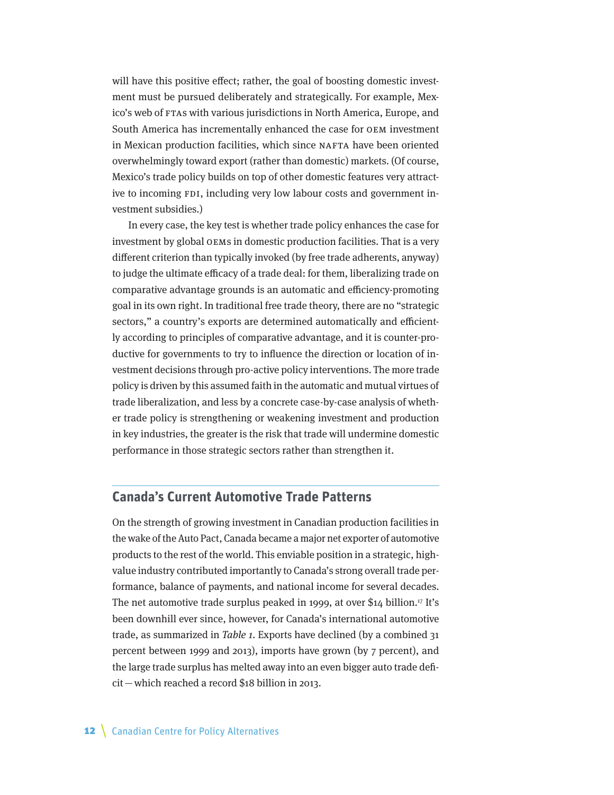<span id="page-11-0"></span>will have this positive effect; rather, the goal of boosting domestic investment must be pursued deliberately and strategically. For example, Mexico's web of FTAs with various jurisdictions in North America, Europe, and South America has incrementally enhanced the case for OEM investment in Mexican production facilities, which since NAFTA have been oriented overwhelmingly toward export (rather than domestic) markets. (Of course, Mexico's trade policy builds on top of other domestic features very attractive to incoming FDI, including very low labour costs and government investment subsidies.)

In every case, the key test is whether trade policy enhances the case for investment by global OEMs in domestic production facilities. That is a very different criterion than typically invoked (by free trade adherents, anyway) to judge the ultimate efficacy of a trade deal: for them, liberalizing trade on comparative advantage grounds is an automatic and efficiency-promoting goal in its own right. In traditional free trade theory, there are no "strategic sectors," a country's exports are determined automatically and efficiently according to principles of comparative advantage, and it is counter-productive for governments to try to influence the direction or location of investment decisions through pro-active policy interventions. The more trade policy is driven by this assumed faith in the automatic and mutual virtues of trade liberalization, and less by a concrete case-by-case analysis of whether trade policy is strengthening or weakening investment and production in key industries, the greater is the risk that trade will undermine domestic performance in those strategic sectors rather than strengthen it.

## **Canada's Current Automotive Trade Patterns**

On the strength of growing investment in Canadian production facilities in the wake of the Auto Pact, Canada became a major net exporter of automotive products to the rest of the world. This enviable position in a strategic, highvalue industry contributed importantly to Canada's strong overall trade performance, balance of payments, and national income for several decades. The net automotive trade surplus peaked in 1999, at over \$14 billion.<sup>17</sup> It's been downhill ever since, however, for Canada's international automotive trade, as summarized in Table 1. Exports have declined (by a combined 31 percent between 1999 and 2013), imports have grown (by 7 percent), and the large trade surplus has melted away into an even bigger auto trade deficit—which reached a record \$18 billion in 2013.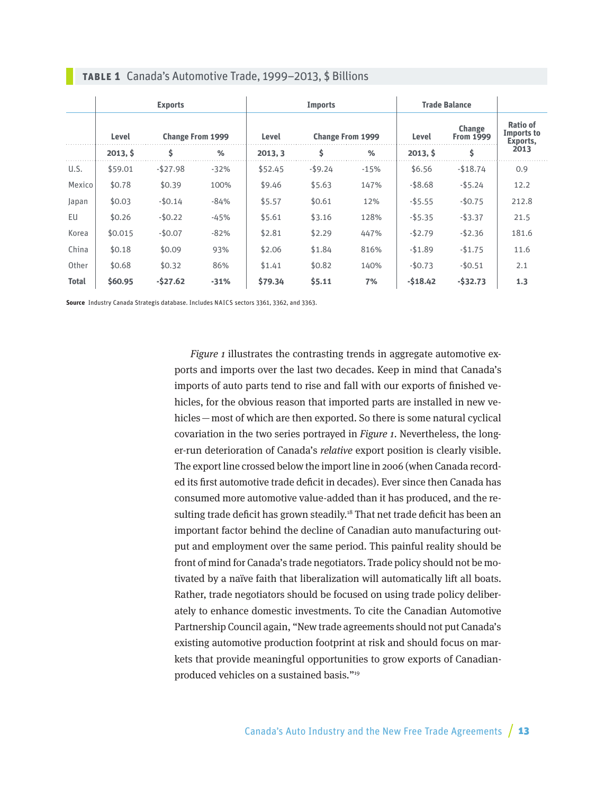|              | <b>Exports</b> |                         |        | <b>Imports</b> |                         |        | <b>Trade Balance</b> |                            |                                           |
|--------------|----------------|-------------------------|--------|----------------|-------------------------|--------|----------------------|----------------------------|-------------------------------------------|
|              | Level          | <b>Change From 1999</b> |        | Level          | <b>Change From 1999</b> |        | Level                | Change<br><b>From 1999</b> | <b>Ratio of</b><br>Imports to<br>Exports, |
|              | 2013, 5        | \$                      | %      | 2013, 3        | \$                      | %      | 2013, 5              | \$                         | 2013                                      |
| U.S.         | \$59.01        | $-$ \$27.98             | $-32%$ | \$52.45        | $-$ \$9.24              | $-15%$ | \$6.56               | $-$18.74$                  | 0.9                                       |
| Mexico       | \$0.78         | \$0.39                  | 100%   | \$9.46         | \$5.63                  | 147%   | $-$ \$8.68           | $-$ \$5.24                 | 12.2                                      |
| Japan        | \$0.03         | $-50.14$                | $-84%$ | \$5.57         | \$0.61                  | 12%    | $-$5.55$             | $-$0.75$                   | 212.8                                     |
| EU           | \$0.26         | $-$0.22$                | $-45%$ | \$5.61         | \$3.16                  | 128%   | $-$5.35$             | $-$ \$3.37                 | 21.5                                      |
| Korea        | \$0.015        | $-$0.07$                | $-82%$ | \$2.81         | \$2.29                  | 447%   | $-$2.79$             | $-$2.36$                   | 181.6                                     |
| China        | \$0.18         | \$0.09                  | 93%    | \$2.06         | \$1.84                  | 816%   | $-$1.89$             | $-$1.75$                   | 11.6                                      |
| Other        | \$0.68         | \$0.32                  | 86%    | \$1.41         | \$0.82                  | 140%   | $-50.73$             | $-50.51$                   | 2.1                                       |
| <b>Total</b> | \$60.95        | $-527.62$               | $-31%$ | \$79.34        | \$5.11                  | 7%     | $-518.42$            | $-532.73$                  | 1.3                                       |

#### **Table 1** Canada's Automotive Trade, 1999–2013, \$ Billions

**Source** Industry Canada Strategis database. Includes NAICS sectors 3361, 3362, and 3363.

Figure 1 illustrates the contrasting trends in aggregate automotive exports and imports over the last two decades. Keep in mind that Canada's imports of auto parts tend to rise and fall with our exports of finished vehicles, for the obvious reason that imported parts are installed in new vehicles—most of which are then exported. So there is some natural cyclical covariation in the two series portrayed in Figure 1. Nevertheless, the longer-run deterioration of Canada's relative export position is clearly visible. The export line crossed below the import line in 2006 (when Canada recorded its first automotive trade deficit in decades). Ever since then Canada has consumed more automotive value-added than it has produced, and the resulting trade deficit has grown steadily.<sup>18</sup> That net trade deficit has been an important factor behind the decline of Canadian auto manufacturing output and employment over the same period. This painful reality should be front of mind for Canada's trade negotiators. Trade policy should not be motivated by a naïve faith that liberalization will automatically lift all boats. Rather, trade negotiators should be focused on using trade policy deliberately to enhance domestic investments. To cite the Canadian Automotive Partnership Council again, "New trade agreements should not put Canada's existing automotive production footprint at risk and should focus on markets that provide meaningful opportunities to grow exports of Canadianproduced vehicles on a sustained basis."19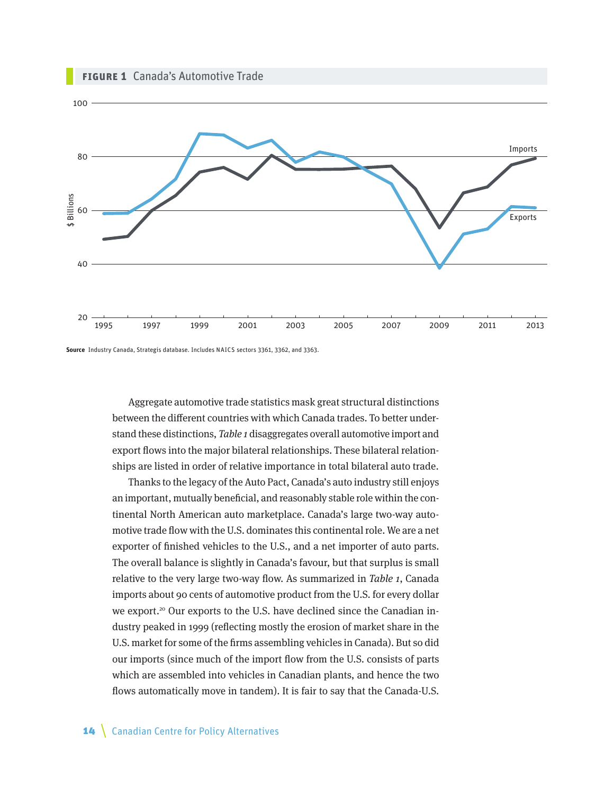

**Source** Industry Canada, Strategis database. Includes NAICS sectors 3361, 3362, and 3363.

Aggregate automotive trade statistics mask great structural distinctions between the different countries with which Canada trades. To better understand these distinctions, Table 1 disaggregates overall automotive import and export flows into the major bilateral relationships. These bilateral relationships are listed in order of relative importance in total bilateral auto trade.

Thanks to the legacy of the Auto Pact, Canada's auto industry still enjoys an important, mutually beneficial, and reasonably stable role within the continental North American auto marketplace. Canada's large two-way automotive trade flow with the U.S. dominates this continental role. We are a net exporter of finished vehicles to the U.S., and a net importer of auto parts. The overall balance is slightly in Canada's favour, but that surplus is small relative to the very large two-way flow. As summarized in Table 1, Canada imports about 90 cents of automotive product from the U.S. for every dollar we export.<sup>20</sup> Our exports to the U.S. have declined since the Canadian industry peaked in 1999 (reflecting mostly the erosion of market share in the U.S. market for some of the firms assembling vehicles in Canada). But so did our imports (since much of the import flow from the U.S. consists of parts which are assembled into vehicles in Canadian plants, and hence the two flows automatically move in tandem). It is fair to say that the Canada-U.S.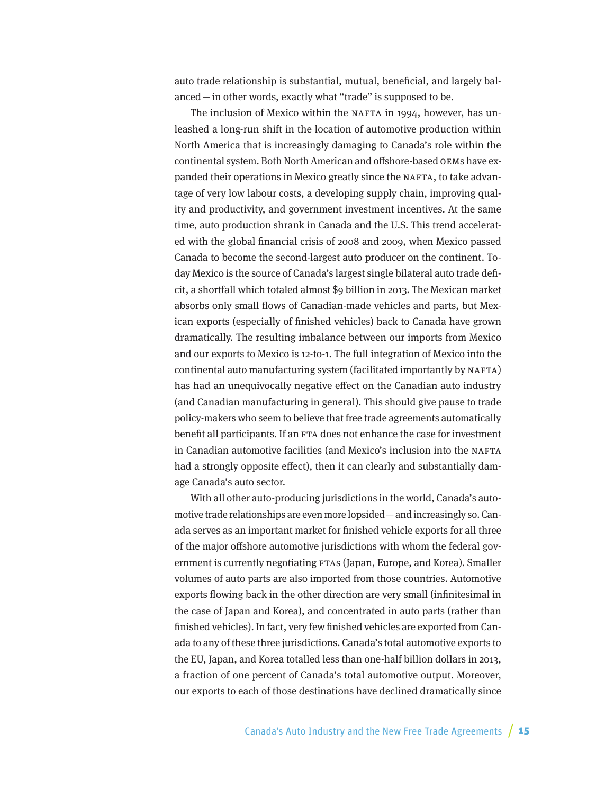auto trade relationship is substantial, mutual, beneficial, and largely balanced—in other words, exactly what "trade" is supposed to be.

The inclusion of Mexico within the NAFTA in 1994, however, has unleashed a long-run shift in the location of automotive production within North America that is increasingly damaging to Canada's role within the continental system. Both North American and offshore-based OEMs have expanded their operations in Mexico greatly since the NAFTA, to take advantage of very low labour costs, a developing supply chain, improving quality and productivity, and government investment incentives. At the same time, auto production shrank in Canada and the U.S. This trend accelerated with the global financial crisis of 2008 and 2009, when Mexico passed Canada to become the second-largest auto producer on the continent. Today Mexico is the source of Canada's largest single bilateral auto trade deficit, a shortfall which totaled almost \$9 billion in 2013. The Mexican market absorbs only small flows of Canadian-made vehicles and parts, but Mexican exports (especially of finished vehicles) back to Canada have grown dramatically. The resulting imbalance between our imports from Mexico and our exports to Mexico is 12-to-1. The full integration of Mexico into the continental auto manufacturing system (facilitated importantly by NAFTA) has had an unequivocally negative effect on the Canadian auto industry (and Canadian manufacturing in general). This should give pause to trade policy-makers who seem to believe that free trade agreements automatically benefit all participants. If an FTA does not enhance the case for investment in Canadian automotive facilities (and Mexico's inclusion into the NAFTA had a strongly opposite effect), then it can clearly and substantially damage Canada's auto sector.

With all other auto-producing jurisdictions in the world, Canada's automotive trade relationships are even more lopsided—and increasingly so. Canada serves as an important market for finished vehicle exports for all three of the major offshore automotive jurisdictions with whom the federal government is currently negotiating FTAs (Japan, Europe, and Korea). Smaller volumes of auto parts are also imported from those countries. Automotive exports flowing back in the other direction are very small (infinitesimal in the case of Japan and Korea), and concentrated in auto parts (rather than finished vehicles). In fact, very few finished vehicles are exported from Canada to any of these three jurisdictions. Canada's total automotive exports to the EU, Japan, and Korea totalled less than one-half billion dollars in 2013, a fraction of one percent of Canada's total automotive output. Moreover, our exports to each of those destinations have declined dramatically since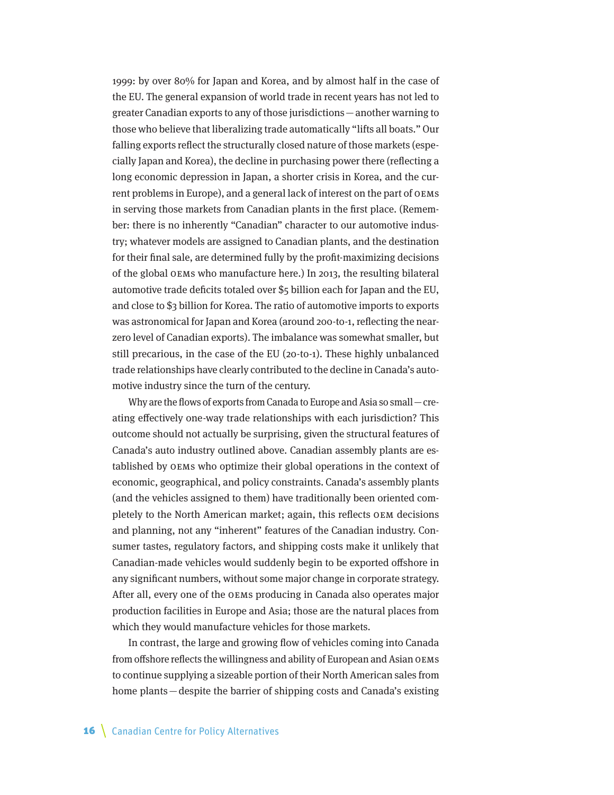1999: by over 80% for Japan and Korea, and by almost half in the case of the EU. The general expansion of world trade in recent years has not led to greater Canadian exports to any of those jurisdictions—another warning to those who believe that liberalizing trade automatically "lifts all boats." Our falling exports reflect the structurally closed nature of those markets (especially Japan and Korea), the decline in purchasing power there (reflecting a long economic depression in Japan, a shorter crisis in Korea, and the current problems in Europe), and a general lack of interest on the part of OEMs in serving those markets from Canadian plants in the first place. (Remember: there is no inherently "Canadian" character to our automotive industry; whatever models are assigned to Canadian plants, and the destination for their final sale, are determined fully by the profit-maximizing decisions of the global OEMs who manufacture here.) In 2013, the resulting bilateral automotive trade deficits totaled over \$5 billion each for Japan and the EU, and close to \$3 billion for Korea. The ratio of automotive imports to exports was astronomical for Japan and Korea (around 200-to-1, reflecting the nearzero level of Canadian exports). The imbalance was somewhat smaller, but still precarious, in the case of the EU (20-to-1). These highly unbalanced trade relationships have clearly contributed to the decline in Canada's automotive industry since the turn of the century.

Why are the flows of exports from Canada to Europe and Asia so small—creating effectively one-way trade relationships with each jurisdiction? This outcome should not actually be surprising, given the structural features of Canada's auto industry outlined above. Canadian assembly plants are established by OEMs who optimize their global operations in the context of economic, geographical, and policy constraints. Canada's assembly plants (and the vehicles assigned to them) have traditionally been oriented completely to the North American market; again, this reflects OEM decisions and planning, not any "inherent" features of the Canadian industry. Consumer tastes, regulatory factors, and shipping costs make it unlikely that Canadian-made vehicles would suddenly begin to be exported offshore in any significant numbers, without some major change in corporate strategy. After all, every one of the OEMs producing in Canada also operates major production facilities in Europe and Asia; those are the natural places from which they would manufacture vehicles for those markets.

In contrast, the large and growing flow of vehicles coming into Canada from offshore reflects the willingness and ability of European and Asian OEMs to continue supplying a sizeable portion of their North American sales from home plants—despite the barrier of shipping costs and Canada's existing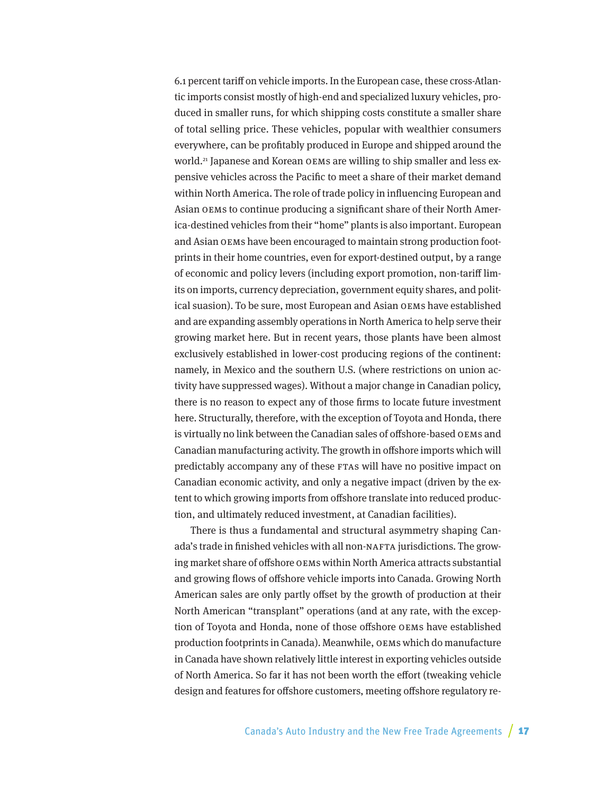6.1 percent tariff on vehicle imports. In the European case, these cross-Atlantic imports consist mostly of high-end and specialized luxury vehicles, produced in smaller runs, for which shipping costs constitute a smaller share of total selling price. These vehicles, popular with wealthier consumers everywhere, can be profitably produced in Europe and shipped around the world.<sup>21</sup> Japanese and Korean OEMs are willing to ship smaller and less expensive vehicles across the Pacific to meet a share of their market demand within North America. The role of trade policy in influencing European and Asian OEMs to continue producing a significant share of their North America-destined vehicles from their "home" plants is also important. European and Asian OEMs have been encouraged to maintain strong production footprints in their home countries, even for export-destined output, by a range of economic and policy levers (including export promotion, non-tariff limits on imports, currency depreciation, government equity shares, and political suasion). To be sure, most European and Asian OEMs have established and are expanding assembly operations in North America to help serve their growing market here. But in recent years, those plants have been almost exclusively established in lower-cost producing regions of the continent: namely, in Mexico and the southern U.S. (where restrictions on union activity have suppressed wages). Without a major change in Canadian policy, there is no reason to expect any of those firms to locate future investment here. Structurally, therefore, with the exception of Toyota and Honda, there is virtually no link between the Canadian sales of offshore-based OEMs and Canadian manufacturing activity. The growth in offshore imports which will predictably accompany any of these FTAs will have no positive impact on Canadian economic activity, and only a negative impact (driven by the extent to which growing imports from offshore translate into reduced production, and ultimately reduced investment, at Canadian facilities).

There is thus a fundamental and structural asymmetry shaping Canada's trade in finished vehicles with all non-NAFTA jurisdictions. The growing market share of offshore OEMs within North America attracts substantial and growing flows of offshore vehicle imports into Canada. Growing North American sales are only partly offset by the growth of production at their North American "transplant" operations (and at any rate, with the exception of Toyota and Honda, none of those offshore OEMs have established production footprints in Canada). Meanwhile, OEMs which do manufacture in Canada have shown relatively little interest in exporting vehicles outside of North America. So far it has not been worth the effort (tweaking vehicle design and features for offshore customers, meeting offshore regulatory re-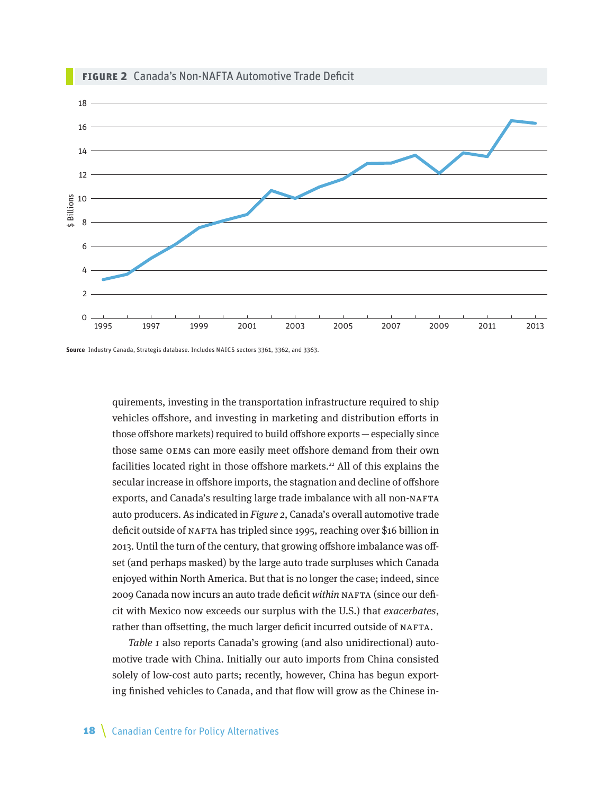

**Source** Industry Canada, Strategis database. Includes NAICS sectors 3361, 3362, and 3363.

quirements, investing in the transportation infrastructure required to ship vehicles offshore, and investing in marketing and distribution efforts in those offshore markets) required to build offshore exports—especially since those same OEMs can more easily meet offshore demand from their own facilities located right in those offshore markets.<sup>22</sup> All of this explains the secular increase in offshore imports, the stagnation and decline of offshore exports, and Canada's resulting large trade imbalance with all non-NAFTA auto producers. As indicated in Figure 2, Canada's overall automotive trade deficit outside of NAFTA has tripled since 1995, reaching over \$16 billion in 2013. Until the turn of the century, that growing offshore imbalance was offset (and perhaps masked) by the large auto trade surpluses which Canada enjoyed within North America. But that is no longer the case; indeed, since 2009 Canada now incurs an auto trade deficit within NAFTA (since our deficit with Mexico now exceeds our surplus with the U.S.) that exacerbates, rather than offsetting, the much larger deficit incurred outside of NAFTA.

Table 1 also reports Canada's growing (and also unidirectional) automotive trade with China. Initially our auto imports from China consisted solely of low-cost auto parts; recently, however, China has begun exporting finished vehicles to Canada, and that flow will grow as the Chinese in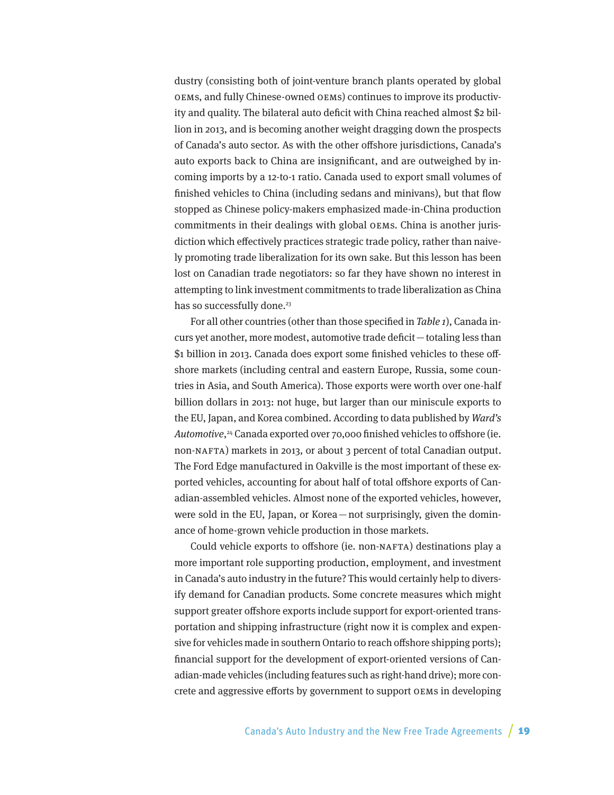dustry (consisting both of joint-venture branch plants operated by global OEMs, and fully Chinese-owned OEMs) continues to improve its productivity and quality. The bilateral auto deficit with China reached almost \$2 billion in 2013, and is becoming another weight dragging down the prospects of Canada's auto sector. As with the other offshore jurisdictions, Canada's auto exports back to China are insignificant, and are outweighed by incoming imports by a 12-to-1 ratio. Canada used to export small volumes of finished vehicles to China (including sedans and minivans), but that flow stopped as Chinese policy-makers emphasized made-in-China production commitments in their dealings with global OEMs. China is another jurisdiction which effectively practices strategic trade policy, rather than naively promoting trade liberalization for its own sake. But this lesson has been lost on Canadian trade negotiators: so far they have shown no interest in attempting to link investment commitments to trade liberalization as China has so successfully done.<sup>23</sup>

For all other countries (other than those specified in Table 1), Canada incurs yet another, more modest, automotive trade deficit—totaling less than \$1 billion in 2013. Canada does export some finished vehicles to these offshore markets (including central and eastern Europe, Russia, some countries in Asia, and South America). Those exports were worth over one-half billion dollars in 2013: not huge, but larger than our miniscule exports to the EU, Japan, and Korea combined. According to data published by Ward's Automotive, 24 Canada exported over 70,000 finished vehicles to offshore (ie. non-NAFTA) markets in 2013, or about 3 percent of total Canadian output. The Ford Edge manufactured in Oakville is the most important of these exported vehicles, accounting for about half of total offshore exports of Canadian-assembled vehicles. Almost none of the exported vehicles, however, were sold in the EU, Japan, or Korea—not surprisingly, given the dominance of home-grown vehicle production in those markets.

Could vehicle exports to offshore (ie. non-NAFTA) destinations play a more important role supporting production, employment, and investment in Canada's auto industry in the future? This would certainly help to diversify demand for Canadian products. Some concrete measures which might support greater offshore exports include support for export-oriented transportation and shipping infrastructure (right now it is complex and expensive for vehicles made in southern Ontario to reach offshore shipping ports); financial support for the development of export-oriented versions of Canadian-made vehicles (including features such as right-hand drive); more concrete and aggressive efforts by government to support OEMs in developing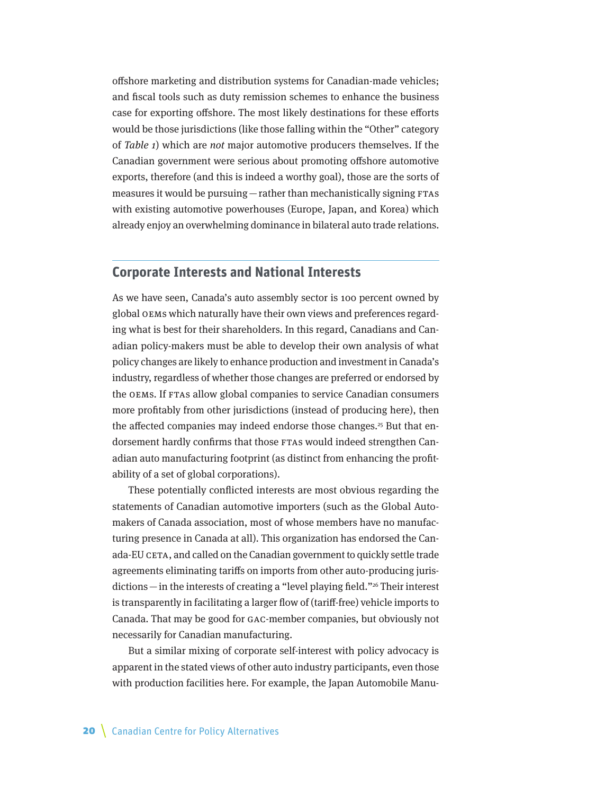<span id="page-19-0"></span>offshore marketing and distribution systems for Canadian-made vehicles; and fiscal tools such as duty remission schemes to enhance the business case for exporting offshore. The most likely destinations for these efforts would be those jurisdictions (like those falling within the "Other" category of Table 1) which are not major automotive producers themselves. If the Canadian government were serious about promoting offshore automotive exports, therefore (and this is indeed a worthy goal), those are the sorts of measures it would be pursuing—rather than mechanistically signing FTAs with existing automotive powerhouses (Europe, Japan, and Korea) which already enjoy an overwhelming dominance in bilateral auto trade relations.

#### **Corporate Interests and National Interests**

As we have seen, Canada's auto assembly sector is 100 percent owned by global OEMs which naturally have their own views and preferences regarding what is best for their shareholders. In this regard, Canadians and Canadian policy-makers must be able to develop their own analysis of what policy changes are likely to enhance production and investment in Canada's industry, regardless of whether those changes are preferred or endorsed by the OEMs. If FTAs allow global companies to service Canadian consumers more profitably from other jurisdictions (instead of producing here), then the affected companies may indeed endorse those changes.<sup>25</sup> But that endorsement hardly confirms that those FTAs would indeed strengthen Canadian auto manufacturing footprint (as distinct from enhancing the profitability of a set of global corporations).

These potentially conflicted interests are most obvious regarding the statements of Canadian automotive importers (such as the Global Automakers of Canada association, most of whose members have no manufacturing presence in Canada at all). This organization has endorsed the Canada-EU CETA, and called on the Canadian government to quickly settle trade agreements eliminating tariffs on imports from other auto-producing jurisdictions—in the interests of creating a "level playing field."26 Their interest is transparently in facilitating a larger flow of (tariff-free) vehicle imports to Canada. That may be good for GAC-member companies, but obviously not necessarily for Canadian manufacturing.

But a similar mixing of corporate self-interest with policy advocacy is apparent in the stated views of other auto industry participants, even those with production facilities here. For example, the Japan Automobile Manu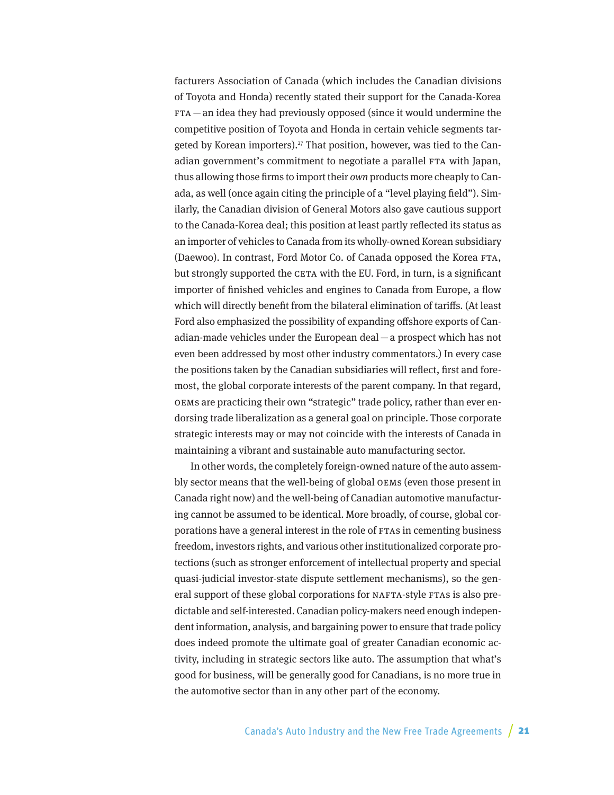facturers Association of Canada (which includes the Canadian divisions of Toyota and Honda) recently stated their support for the Canada-Korea  $FTA$  — an idea they had previously opposed (since it would undermine the competitive position of Toyota and Honda in certain vehicle segments targeted by Korean importers).<sup>27</sup> That position, however, was tied to the Canadian government's commitment to negotiate a parallel FTA with Japan, thus allowing those firms to import their own products more cheaply to Canada, as well (once again citing the principle of a "level playing field"). Similarly, the Canadian division of General Motors also gave cautious support to the Canada-Korea deal; this position at least partly reflected its status as an importer of vehicles to Canada from its wholly-owned Korean subsidiary (Daewoo). In contrast, Ford Motor Co. of Canada opposed the Korea FTA, but strongly supported the CETA with the EU. Ford, in turn, is a significant importer of finished vehicles and engines to Canada from Europe, a flow which will directly benefit from the bilateral elimination of tariffs. (At least Ford also emphasized the possibility of expanding offshore exports of Canadian-made vehicles under the European deal—a prospect which has not even been addressed by most other industry commentators.) In every case the positions taken by the Canadian subsidiaries will reflect, first and foremost, the global corporate interests of the parent company. In that regard, OEMs are practicing their own "strategic" trade policy, rather than ever endorsing trade liberalization as a general goal on principle. Those corporate strategic interests may or may not coincide with the interests of Canada in maintaining a vibrant and sustainable auto manufacturing sector.

In other words, the completely foreign-owned nature of the auto assembly sector means that the well-being of global OEMs (even those present in Canada right now) and the well-being of Canadian automotive manufacturing cannot be assumed to be identical. More broadly, of course, global corporations have a general interest in the role of FTAs in cementing business freedom, investors rights, and various other institutionalized corporate protections (such as stronger enforcement of intellectual property and special quasi-judicial investor-state dispute settlement mechanisms), so the general support of these global corporations for NAFTA-style FTAs is also predictable and self-interested. Canadian policy-makers need enough independent information, analysis, and bargaining power to ensure that trade policy does indeed promote the ultimate goal of greater Canadian economic activity, including in strategic sectors like auto. The assumption that what's good for business, will be generally good for Canadians, is no more true in the automotive sector than in any other part of the economy.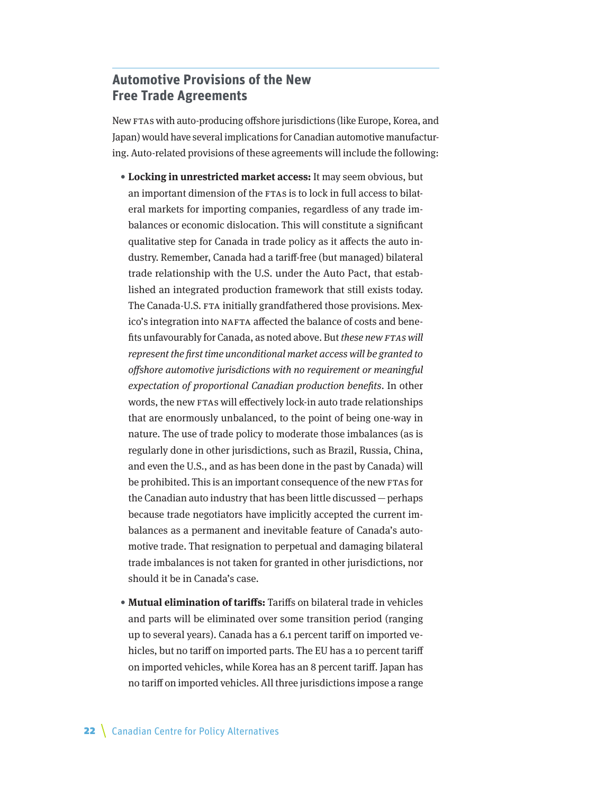## <span id="page-21-0"></span>**Automotive Provisions of the New Free Trade Agreements**

New FTAs with auto-producing offshore jurisdictions (like Europe, Korea, and Japan) would have several implications for Canadian automotive manufacturing. Auto-related provisions of these agreements will include the following:

- **Locking in unrestricted market access:** It may seem obvious, but an important dimension of the FTAs is to lock in full access to bilateral markets for importing companies, regardless of any trade imbalances or economic dislocation. This will constitute a significant qualitative step for Canada in trade policy as it affects the auto industry. Remember, Canada had a tariff-free (but managed) bilateral trade relationship with the U.S. under the Auto Pact, that established an integrated production framework that still exists today. The Canada-U.S. FTA initially grandfathered those provisions. Mexico's integration into NAFTA affected the balance of costs and benefits unfavourably for Canada, as noted above. But these new FTAs will represent the first time unconditional market access will be granted to offshore automotive jurisdictions with no requirement or meaningful expectation of proportional Canadian production benefits. In other words, the new FTAs will effectively lock-in auto trade relationships that are enormously unbalanced, to the point of being one-way in nature. The use of trade policy to moderate those imbalances (as is regularly done in other jurisdictions, such as Brazil, Russia, China, and even the U.S., and as has been done in the past by Canada) will be prohibited. This is an important consequence of the new FTAs for the Canadian auto industry that has been little discussed—perhaps because trade negotiators have implicitly accepted the current imbalances as a permanent and inevitable feature of Canada's automotive trade. That resignation to perpetual and damaging bilateral trade imbalances is not taken for granted in other jurisdictions, nor should it be in Canada's case.
- **Mutual elimination of tariffs:** Tariffs on bilateral trade in vehicles and parts will be eliminated over some transition period (ranging up to several years). Canada has a 6.1 percent tariff on imported vehicles, but no tariff on imported parts. The EU has a 10 percent tariff on imported vehicles, while Korea has an 8 percent tariff. Japan has no tariff on imported vehicles. All three jurisdictions impose a range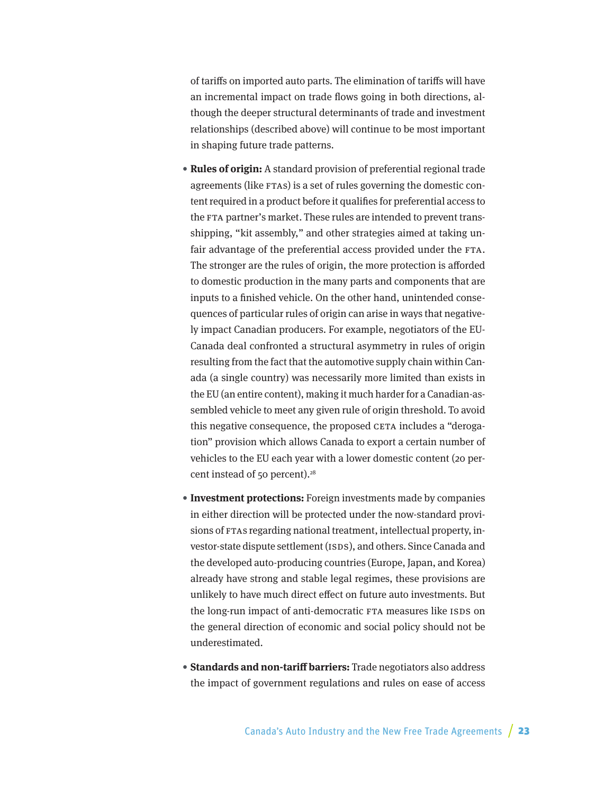of tariffs on imported auto parts. The elimination of tariffs will have an incremental impact on trade flows going in both directions, although the deeper structural determinants of trade and investment relationships (described above) will continue to be most important in shaping future trade patterns.

- **Rules of origin:** A standard provision of preferential regional trade agreements (like FTAs) is a set of rules governing the domestic content required in a product before it qualifies for preferential access to the FTA partner's market. These rules are intended to prevent transshipping, "kit assembly," and other strategies aimed at taking unfair advantage of the preferential access provided under the FTA. The stronger are the rules of origin, the more protection is afforded to domestic production in the many parts and components that are inputs to a finished vehicle. On the other hand, unintended consequences of particular rules of origin can arise in ways that negatively impact Canadian producers. For example, negotiators of the EU-Canada deal confronted a structural asymmetry in rules of origin resulting from the fact that the automotive supply chain within Canada (a single country) was necessarily more limited than exists in the EU (an entire content), making it much harder for a Canadian-assembled vehicle to meet any given rule of origin threshold. To avoid this negative consequence, the proposed CETA includes a "derogation" provision which allows Canada to export a certain number of vehicles to the EU each year with a lower domestic content (20 percent instead of 50 percent).<sup>28</sup>
- **Investment protections:** Foreign investments made by companies in either direction will be protected under the now-standard provisions of FTAs regarding national treatment, intellectual property, investor-state dispute settlement (ISDS), and others. Since Canada and the developed auto-producing countries (Europe, Japan, and Korea) already have strong and stable legal regimes, these provisions are unlikely to have much direct effect on future auto investments. But the long-run impact of anti-democratic FTA measures like ISDS on the general direction of economic and social policy should not be underestimated.
- **Standards and non-tariff barriers:** Trade negotiators also address the impact of government regulations and rules on ease of access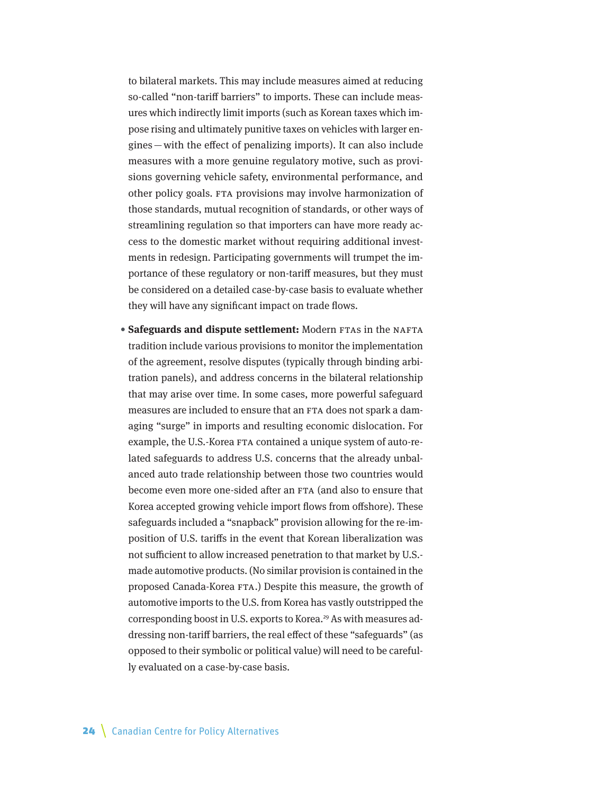to bilateral markets. This may include measures aimed at reducing so-called "non-tariff barriers" to imports. These can include measures which indirectly limit imports (such as Korean taxes which impose rising and ultimately punitive taxes on vehicles with larger engines—with the effect of penalizing imports). It can also include measures with a more genuine regulatory motive, such as provisions governing vehicle safety, environmental performance, and other policy goals. FTA provisions may involve harmonization of those standards, mutual recognition of standards, or other ways of streamlining regulation so that importers can have more ready access to the domestic market without requiring additional investments in redesign. Participating governments will trumpet the importance of these regulatory or non-tariff measures, but they must be considered on a detailed case-by-case basis to evaluate whether they will have any significant impact on trade flows.

• **Safeguards and dispute settlement:** Modern FTAs in the NAFTA tradition include various provisions to monitor the implementation of the agreement, resolve disputes (typically through binding arbitration panels), and address concerns in the bilateral relationship that may arise over time. In some cases, more powerful safeguard measures are included to ensure that an FTA does not spark a damaging "surge" in imports and resulting economic dislocation. For example, the U.S.-Korea FTA contained a unique system of auto-related safeguards to address U.S. concerns that the already unbalanced auto trade relationship between those two countries would become even more one-sided after an FTA (and also to ensure that Korea accepted growing vehicle import flows from offshore). These safeguards included a "snapback" provision allowing for the re-imposition of U.S. tariffs in the event that Korean liberalization was not sufficient to allow increased penetration to that market by U.S. made automotive products. (No similar provision is contained in the proposed Canada-Korea FTA.) Despite this measure, the growth of automotive imports to the U.S. from Korea has vastly outstripped the corresponding boost in U.S. exports to Korea.<sup>29</sup> As with measures addressing non-tariff barriers, the real effect of these "safeguards" (as opposed to their symbolic or political value) will need to be carefully evaluated on a case-by-case basis.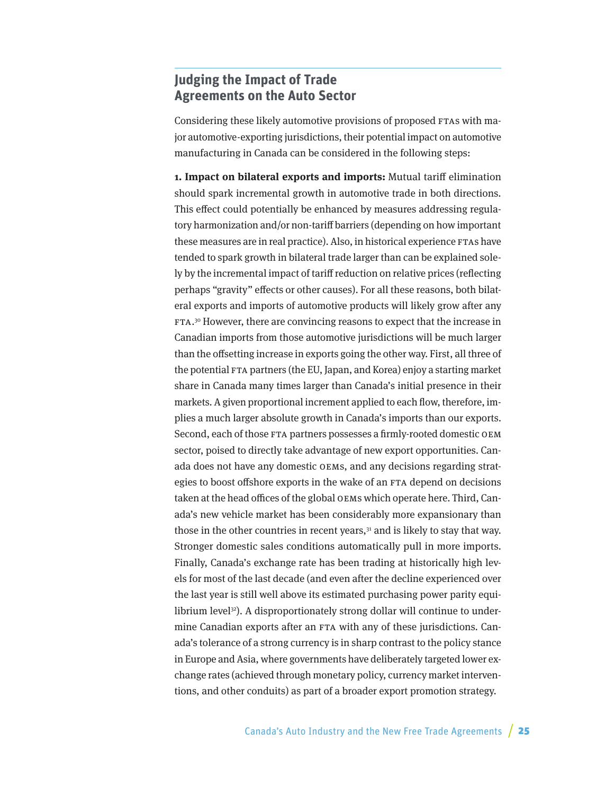## <span id="page-24-0"></span>**Judging the Impact of Trade Agreements on the Auto Sector**

Considering these likely automotive provisions of proposed FTAs with major automotive-exporting jurisdictions, their potential impact on automotive manufacturing in Canada can be considered in the following steps:

**1. Impact on bilateral exports and imports:** Mutual tariff elimination should spark incremental growth in automotive trade in both directions. This effect could potentially be enhanced by measures addressing regulatory harmonization and/or non-tariff barriers (depending on how important these measures are in real practice). Also, in historical experience FTAs have tended to spark growth in bilateral trade larger than can be explained solely by the incremental impact of tariff reduction on relative prices (reflecting perhaps "gravity" effects or other causes). For all these reasons, both bilateral exports and imports of automotive products will likely grow after any FTA. 30 However, there are convincing reasons to expect that the increase in Canadian imports from those automotive jurisdictions will be much larger than the offsetting increase in exports going the other way. First, all three of the potential FTA partners (the EU, Japan, and Korea) enjoy a starting market share in Canada many times larger than Canada's initial presence in their markets. A given proportional increment applied to each flow, therefore, implies a much larger absolute growth in Canada's imports than our exports. Second, each of those FTA partners possesses a firmly-rooted domestic OEM sector, poised to directly take advantage of new export opportunities. Canada does not have any domestic OEMs, and any decisions regarding strategies to boost offshore exports in the wake of an FTA depend on decisions taken at the head offices of the global OEMs which operate here. Third, Canada's new vehicle market has been considerably more expansionary than those in the other countries in recent years, $31$  and is likely to stay that way. Stronger domestic sales conditions automatically pull in more imports. Finally, Canada's exchange rate has been trading at historically high levels for most of the last decade (and even after the decline experienced over the last year is still well above its estimated purchasing power parity equilibrium level<sup>32</sup>). A disproportionately strong dollar will continue to undermine Canadian exports after an FTA with any of these jurisdictions. Canada's tolerance of a strong currency is in sharp contrast to the policy stance in Europe and Asia, where governments have deliberately targeted lower exchange rates (achieved through monetary policy, currency market interventions, and other conduits) as part of a broader export promotion strategy.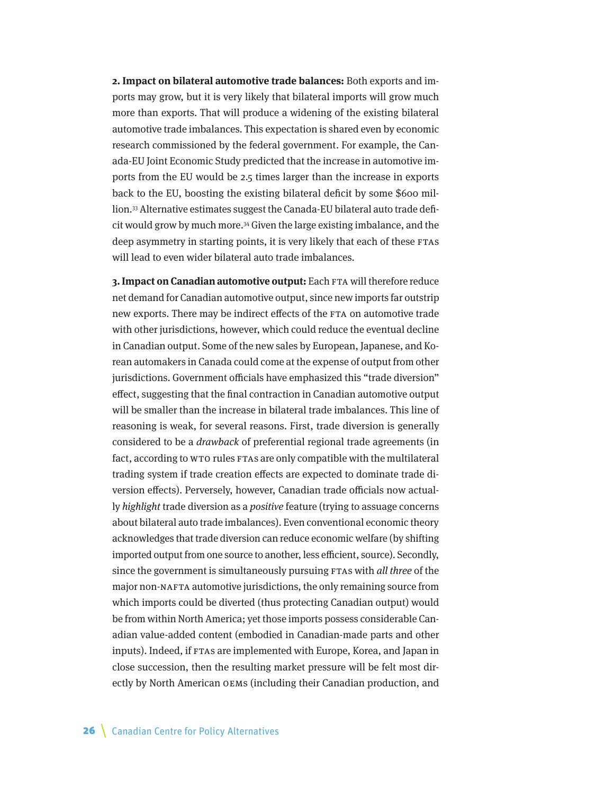**2. Impact on bilateral automotive trade balances:** Both exports and imports may grow, but it is very likely that bilateral imports will grow much more than exports. That will produce a widening of the existing bilateral automotive trade imbalances. This expectation is shared even by economic research commissioned by the federal government. For example, the Canada-EU Joint Economic Study predicted that the increase in automotive imports from the EU would be 2.5 times larger than the increase in exports back to the EU, boosting the existing bilateral deficit by some \$600 million.33 Alternative estimates suggest the Canada-EU bilateral auto trade deficit would grow by much more.34 Given the large existing imbalance, and the deep asymmetry in starting points, it is very likely that each of these FTAs will lead to even wider bilateral auto trade imbalances.

**3. Impact on Canadian automotive output:** Each FTA will therefore reduce net demand for Canadian automotive output, since new imports far outstrip new exports. There may be indirect effects of the FTA on automotive trade with other jurisdictions, however, which could reduce the eventual decline in Canadian output. Some of the new sales by European, Japanese, and Korean automakers in Canada could come at the expense of output from other jurisdictions. Government officials have emphasized this "trade diversion" effect, suggesting that the final contraction in Canadian automotive output will be smaller than the increase in bilateral trade imbalances. This line of reasoning is weak, for several reasons. First, trade diversion is generally considered to be a drawback of preferential regional trade agreements (in fact, according to WTO rules FTAs are only compatible with the multilateral trading system if trade creation effects are expected to dominate trade diversion effects). Perversely, however, Canadian trade officials now actually highlight trade diversion as a positive feature (trying to assuage concerns about bilateral auto trade imbalances). Even conventional economic theory acknowledges that trade diversion can reduce economic welfare (by shifting imported output from one source to another, less efficient, source). Secondly, since the government is simultaneously pursuing FTAs with all three of the major non-NAFTA automotive jurisdictions, the only remaining source from which imports could be diverted (thus protecting Canadian output) would be from within North America; yet those imports possess considerable Canadian value-added content (embodied in Canadian-made parts and other inputs). Indeed, if FTAs are implemented with Europe, Korea, and Japan in close succession, then the resulting market pressure will be felt most directly by North American OEMs (including their Canadian production, and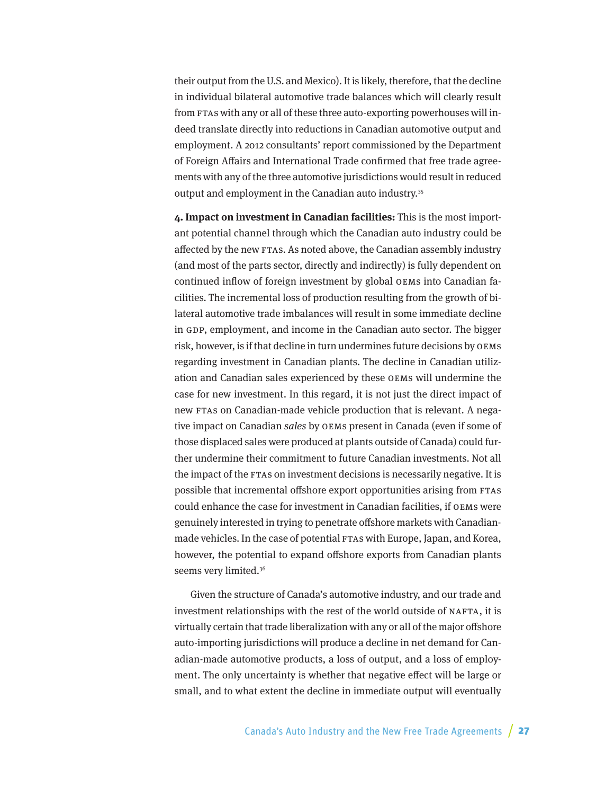their output from the U.S. and Mexico). It is likely, therefore, that the decline in individual bilateral automotive trade balances which will clearly result from FTAs with any or all of these three auto-exporting powerhouses will indeed translate directly into reductions in Canadian automotive output and employment. A 2012 consultants' report commissioned by the Department of Foreign Affairs and International Trade confirmed that free trade agreements with any of the three automotive jurisdictions would result in reduced output and employment in the Canadian auto industry.<sup>35</sup>

**4. Impact on investment in Canadian facilities:** This is the most important potential channel through which the Canadian auto industry could be affected by the new FTAs. As noted above, the Canadian assembly industry (and most of the parts sector, directly and indirectly) is fully dependent on continued inflow of foreign investment by global OEMs into Canadian facilities. The incremental loss of production resulting from the growth of bilateral automotive trade imbalances will result in some immediate decline in GDP, employment, and income in the Canadian auto sector. The bigger risk, however, is if that decline in turn undermines future decisions by OEMs regarding investment in Canadian plants. The decline in Canadian utilization and Canadian sales experienced by these OEMs will undermine the case for new investment. In this regard, it is not just the direct impact of new FTAs on Canadian-made vehicle production that is relevant. A negative impact on Canadian sales by OEMs present in Canada (even if some of those displaced sales were produced at plants outside of Canada) could further undermine their commitment to future Canadian investments. Not all the impact of the FTAs on investment decisions is necessarily negative. It is possible that incremental offshore export opportunities arising from FTAs could enhance the case for investment in Canadian facilities, if OEMs were genuinely interested in trying to penetrate offshore markets with Canadianmade vehicles. In the case of potential FTAs with Europe, Japan, and Korea, however, the potential to expand offshore exports from Canadian plants seems very limited.<sup>36</sup>

Given the structure of Canada's automotive industry, and our trade and investment relationships with the rest of the world outside of NAFTA, it is virtually certain that trade liberalization with any or all of the major offshore auto-importing jurisdictions will produce a decline in net demand for Canadian-made automotive products, a loss of output, and a loss of employment. The only uncertainty is whether that negative effect will be large or small, and to what extent the decline in immediate output will eventually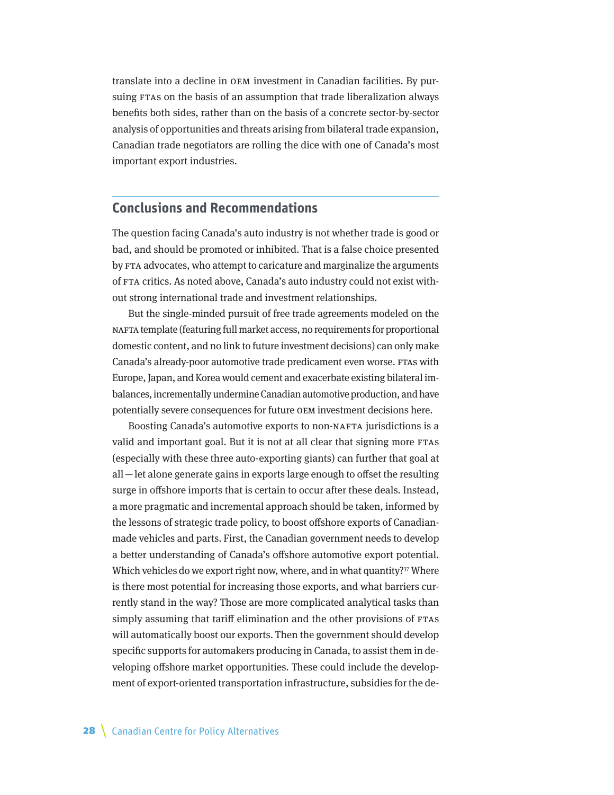<span id="page-27-0"></span>translate into a decline in OEM investment in Canadian facilities. By pursuing FTAs on the basis of an assumption that trade liberalization always benefits both sides, rather than on the basis of a concrete sector-by-sector analysis of opportunities and threats arising from bilateral trade expansion, Canadian trade negotiators are rolling the dice with one of Canada's most important export industries.

#### **Conclusions and Recommendations**

The question facing Canada's auto industry is not whether trade is good or bad, and should be promoted or inhibited. That is a false choice presented by FTA advocates, who attempt to caricature and marginalize the arguments of FTA critics. As noted above, Canada's auto industry could not exist without strong international trade and investment relationships.

But the single-minded pursuit of free trade agreements modeled on the NAFTA template (featuring full market access, no requirements for proportional domestic content, and no link to future investment decisions) can only make Canada's already-poor automotive trade predicament even worse. FTAs with Europe, Japan, and Korea would cement and exacerbate existing bilateral imbalances, incrementally undermine Canadian automotive production, and have potentially severe consequences for future OEM investment decisions here.

Boosting Canada's automotive exports to non-NAFTA jurisdictions is a valid and important goal. But it is not at all clear that signing more FTAs (especially with these three auto-exporting giants) can further that goal at all—let alone generate gains in exports large enough to offset the resulting surge in offshore imports that is certain to occur after these deals. Instead, a more pragmatic and incremental approach should be taken, informed by the lessons of strategic trade policy, to boost offshore exports of Canadianmade vehicles and parts. First, the Canadian government needs to develop a better understanding of Canada's offshore automotive export potential. Which vehicles do we export right now, where, and in what quantity?<sup>37</sup> Where is there most potential for increasing those exports, and what barriers currently stand in the way? Those are more complicated analytical tasks than simply assuming that tariff elimination and the other provisions of FTAs will automatically boost our exports. Then the government should develop specific supports for automakers producing in Canada, to assist them in developing offshore market opportunities. These could include the development of export-oriented transportation infrastructure, subsidies for the de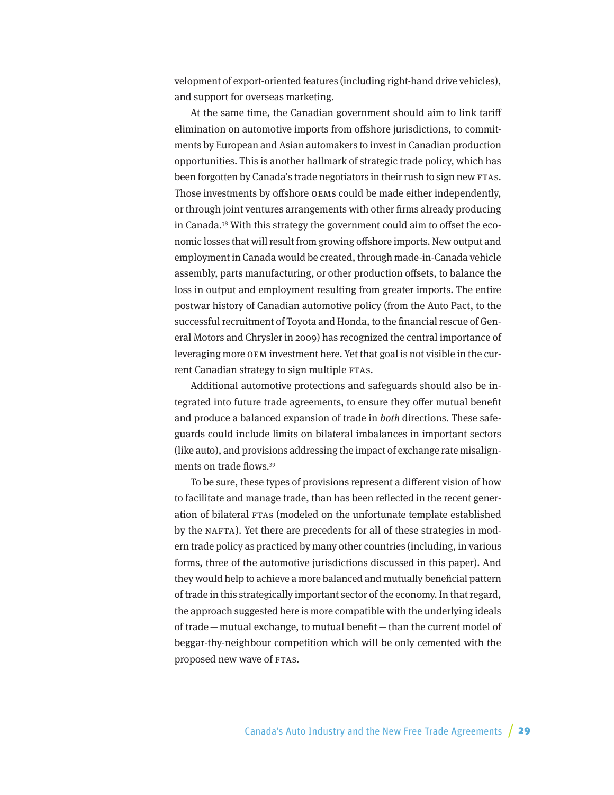velopment of export-oriented features (including right-hand drive vehicles), and support for overseas marketing.

At the same time, the Canadian government should aim to link tariff elimination on automotive imports from offshore jurisdictions, to commitments by European and Asian automakers to invest in Canadian production opportunities. This is another hallmark of strategic trade policy, which has been forgotten by Canada's trade negotiators in their rush to sign new FTAs. Those investments by offshore OEMs could be made either independently, or through joint ventures arrangements with other firms already producing in Canada.38 With this strategy the government could aim to offset the economic losses that will result from growing offshore imports. New output and employment in Canada would be created, through made-in-Canada vehicle assembly, parts manufacturing, or other production offsets, to balance the loss in output and employment resulting from greater imports. The entire postwar history of Canadian automotive policy (from the Auto Pact, to the successful recruitment of Toyota and Honda, to the financial rescue of General Motors and Chrysler in 2009) has recognized the central importance of leveraging more OEM investment here. Yet that goal is not visible in the current Canadian strategy to sign multiple FTAs.

Additional automotive protections and safeguards should also be integrated into future trade agreements, to ensure they offer mutual benefit and produce a balanced expansion of trade in both directions. These safeguards could include limits on bilateral imbalances in important sectors (like auto), and provisions addressing the impact of exchange rate misalignments on trade flows.39

To be sure, these types of provisions represent a different vision of how to facilitate and manage trade, than has been reflected in the recent generation of bilateral FTAs (modeled on the unfortunate template established by the NAFTA). Yet there are precedents for all of these strategies in modern trade policy as practiced by many other countries (including, in various forms, three of the automotive jurisdictions discussed in this paper). And they would help to achieve a more balanced and mutually beneficial pattern of trade in this strategically important sector of the economy. In that regard, the approach suggested here is more compatible with the underlying ideals of trade—mutual exchange, to mutual benefit—than the current model of beggar-thy-neighbour competition which will be only cemented with the proposed new wave of FTAs.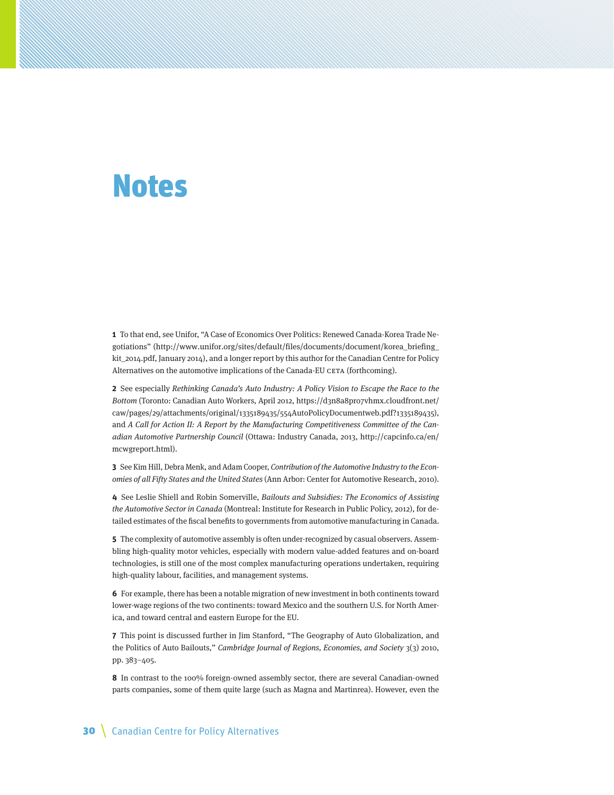## <span id="page-29-0"></span>Notes

**1** To that end, see Unifor, "A Case of Economics Over Politics: Renewed Canada-Korea Trade Negotiations" ([http://www.unifor.org/sites/default/files/documents/document/korea\\_briefing\\_](http://www.unifor.org/sites/default/files/documents/document/korea_briefing_kit_2014.pdf) [kit\\_2014.pdf](http://www.unifor.org/sites/default/files/documents/document/korea_briefing_kit_2014.pdf), January 2014), and a longer report by this author for the Canadian Centre for Policy Alternatives on the automotive implications of the Canada-EU CETA (forthcoming).

**2** See especially Rethinking Canada's Auto Industry: A Policy Vision to Escape the Race to the Bottom (Toronto: Canadian Auto Workers, April 2012, [https://d3n8a8pro7vhmx.cloudfront.net/](https://d3n8a8pro7vhmx.cloudfront.net/caw/pages/29/attachments/original/1335189435/554AutoPolicyDocumentweb.pdf?1335189435) [caw/pages/29/attachments/original/1335189435/554AutoPolicyDocumentweb.pdf?1335189435\)](https://d3n8a8pro7vhmx.cloudfront.net/caw/pages/29/attachments/original/1335189435/554AutoPolicyDocumentweb.pdf?1335189435), and A Call for Action II: A Report by the Manufacturing Competitiveness Committee of the Canadian Automotive Partnership Council (Ottawa: Industry Canada, 2013, [http://capcinfo.ca/en/](http://capcinfo.ca/en/mcwgreport.html) [mcwgreport.html\)](http://capcinfo.ca/en/mcwgreport.html).

**3** See Kim Hill, Debra Menk, and Adam Cooper, Contribution of the Automotive Industry to the Economies of all Fifty States and the United States (Ann Arbor: Center for Automotive Research, 2010).

**4** See Leslie Shiell and Robin Somerville, Bailouts and Subsidies: The Economics of Assisting the Automotive Sector in Canada (Montreal: Institute for Research in Public Policy, 2012), for detailed estimates of the fiscal benefits to governments from automotive manufacturing in Canada.

**5** The complexity of automotive assembly is often under-recognized by casual observers. Assembling high-quality motor vehicles, especially with modern value-added features and on-board technologies, is still one of the most complex manufacturing operations undertaken, requiring high-quality labour, facilities, and management systems.

**6** For example, there has been a notable migration of new investment in both continents toward lower-wage regions of the two continents: toward Mexico and the southern U.S. for North America, and toward central and eastern Europe for the EU.

**7** This point is discussed further in Jim Stanford, "The Geography of Auto Globalization, and the Politics of Auto Bailouts," Cambridge Journal of Regions, Economies, and Society 3(3) 2010, pp. 383–405.

**8** In contrast to the 100% foreign-owned assembly sector, there are several Canadian-owned parts companies, some of them quite large (such as Magna and Martinrea). However, even the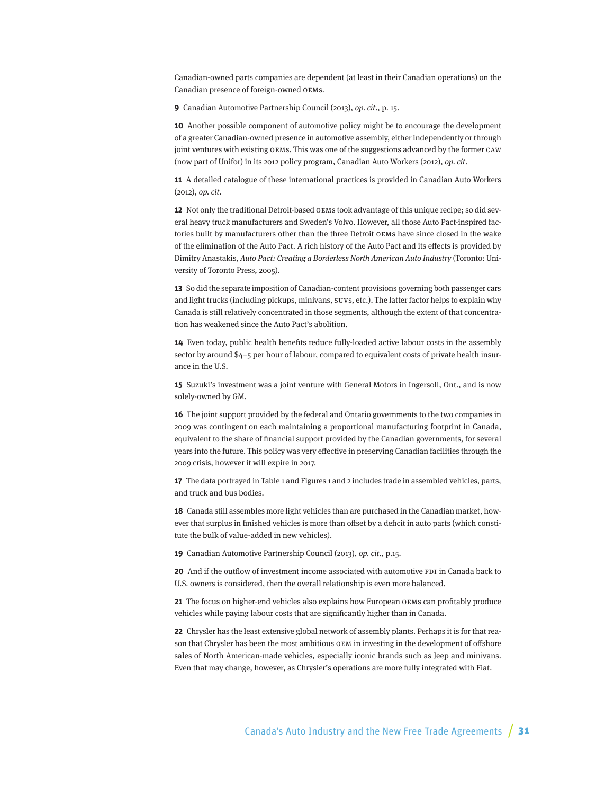Canadian-owned parts companies are dependent (at least in their Canadian operations) on the Canadian presence of foreign-owned OEMs.

**9** Canadian Automotive Partnership Council (2013), op. cit., p. 15.

**10** Another possible component of automotive policy might be to encourage the development of a greater Canadian-owned presence in automotive assembly, either independently or through joint ventures with existing OEMs. This was one of the suggestions advanced by the former CAW (now part of Unifor) in its 2012 policy program, Canadian Auto Workers (2012), op. cit.

**11** A detailed catalogue of these international practices is provided in Canadian Auto Workers (2012), op. cit.

**12** Not only the traditional Detroit-based OEMs took advantage of this unique recipe; so did several heavy truck manufacturers and Sweden's Volvo. However, all those Auto Pact-inspired factories built by manufacturers other than the three Detroit OEMs have since closed in the wake of the elimination of the Auto Pact. A rich history of the Auto Pact and its effects is provided by Dimitry Anastakis, Auto Pact: Creating a Borderless North American Auto Industry (Toronto: University of Toronto Press, 2005).

**13** So did the separate imposition of Canadian-content provisions governing both passenger cars and light trucks (including pickups, minivans, SUVs, etc.). The latter factor helps to explain why Canada is still relatively concentrated in those segments, although the extent of that concentration has weakened since the Auto Pact's abolition.

**14** Even today, public health benefits reduce fully-loaded active labour costs in the assembly sector by around \$4–5 per hour of labour, compared to equivalent costs of private health insurance in the U.S.

**15** Suzuki's investment was a joint venture with General Motors in Ingersoll, Ont., and is now solely-owned by GM.

**16** The joint support provided by the federal and Ontario governments to the two companies in 2009 was contingent on each maintaining a proportional manufacturing footprint in Canada, equivalent to the share of financial support provided by the Canadian governments, for several years into the future. This policy was very effective in preserving Canadian facilities through the 2009 crisis, however it will expire in 2017.

**17** The data portrayed in Table 1 and Figures 1 and 2 includes trade in assembled vehicles, parts, and truck and bus bodies.

**18** Canada still assembles more light vehicles than are purchased in the Canadian market, however that surplus in finished vehicles is more than offset by a deficit in auto parts (which constitute the bulk of value-added in new vehicles).

**19** Canadian Automotive Partnership Council (2013), op. cit., p.15.

**20** And if the outflow of investment income associated with automotive FDI in Canada back to U.S. owners is considered, then the overall relationship is even more balanced.

**21** The focus on higher-end vehicles also explains how European OEMs can profitably produce vehicles while paying labour costs that are significantly higher than in Canada.

**22** Chrysler has the least extensive global network of assembly plants. Perhaps it is for that reason that Chrysler has been the most ambitious OEM in investing in the development of offshore sales of North American-made vehicles, especially iconic brands such as Jeep and minivans. Even that may change, however, as Chrysler's operations are more fully integrated with Fiat.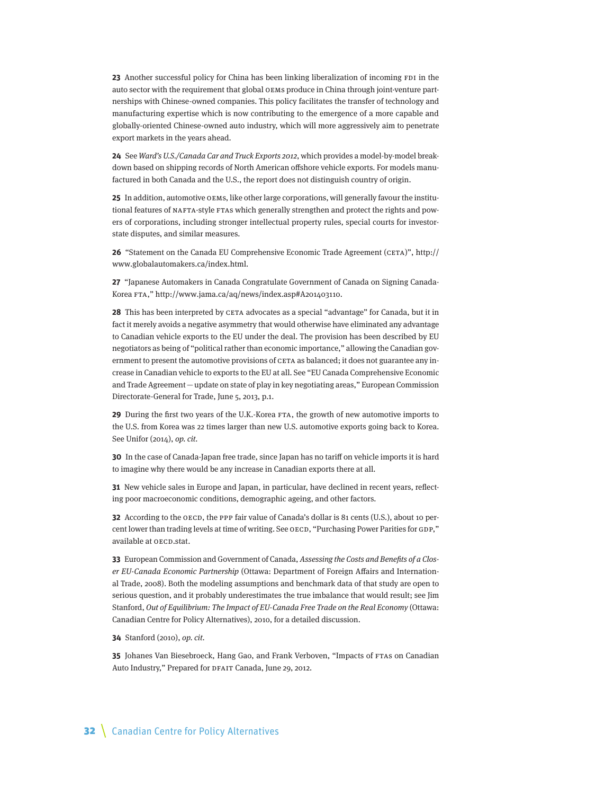**23** Another successful policy for China has been linking liberalization of incoming FDI in the auto sector with the requirement that global OEMs produce in China through joint-venture partnerships with Chinese-owned companies. This policy facilitates the transfer of technology and manufacturing expertise which is now contributing to the emergence of a more capable and globally-oriented Chinese-owned auto industry, which will more aggressively aim to penetrate export markets in the years ahead.

**24** See Ward's U.S./Canada Car and Truck Exports 2012, which provides a model-by-model breakdown based on shipping records of North American offshore vehicle exports. For models manufactured in both Canada and the U.S., the report does not distinguish country of origin.

**25** In addition, automotive OEMs, like other large corporations, will generally favour the institutional features of NAFTA-style FTAs which generally strengthen and protect the rights and powers of corporations, including stronger intellectual property rules, special courts for investorstate disputes, and similar measures.

**26** "Statement on the Canada EU Comprehensive Economic Trade Agreement (CETA)", [http://](http://www.globalautomakers.ca/index.html) [www.globalautomakers.ca/index.html.](http://www.globalautomakers.ca/index.html)

**27** "Japanese Automakers in Canada Congratulate Government of Canada on Signing Canada-Korea FTA," http://www.jama.ca/aq/news/index.asp#A201403110.

**28** This has been interpreted by CETA advocates as a special "advantage" for Canada, but it in fact it merely avoids a negative asymmetry that would otherwise have eliminated any advantage to Canadian vehicle exports to the EU under the deal. The provision has been described by EU negotiators as being of "political rather than economic importance," allowing the Canadian government to present the automotive provisions of CETA as balanced; it does not guarantee any increase in Canadian vehicle to exports to the EU at all. See "EU Canada Comprehensive Economic and Trade Agreement—update on state of play in key negotiating areas," European Commission Directorate-General for Trade, June 5, 2013, p.1.

**29** During the first two years of the U.K.-Korea FTA, the growth of new automotive imports to the U.S. from Korea was 22 times larger than new U.S. automotive exports going back to Korea. See Unifor (2014), op. cit.

**30** In the case of Canada-Japan free trade, since Japan has no tariff on vehicle imports it is hard to imagine why there would be any increase in Canadian exports there at all.

**31** New vehicle sales in Europe and Japan, in particular, have declined in recent years, reflecting poor macroeconomic conditions, demographic ageing, and other factors.

**32** According to the OECD, the PPP fair value of Canada's dollar is 81 cents (U.S.), about 10 percent lower than trading levels at time of writing. See OECD, "Purchasing Power Parities for GDP," available at OECD.stat.

**33** European Commission and Government of Canada, Assessing the Costs and Benefits of a Closer EU-Canada Economic Partnership (Ottawa: Department of Foreign Affairs and International Trade, 2008). Both the modeling assumptions and benchmark data of that study are open to serious question, and it probably underestimates the true imbalance that would result; see Jim Stanford, Out of Equilibrium: The Impact of EU-Canada Free Trade on the Real Economy (Ottawa: Canadian Centre for Policy Alternatives), 2010, for a detailed discussion.

**34** Stanford (2010), op. cit.

**35** Johanes Van Biesebroeck, Hang Gao, and Frank Verboven, "Impacts of FTAs on Canadian Auto Industry," Prepared for DFAIT Canada, June 29, 2012.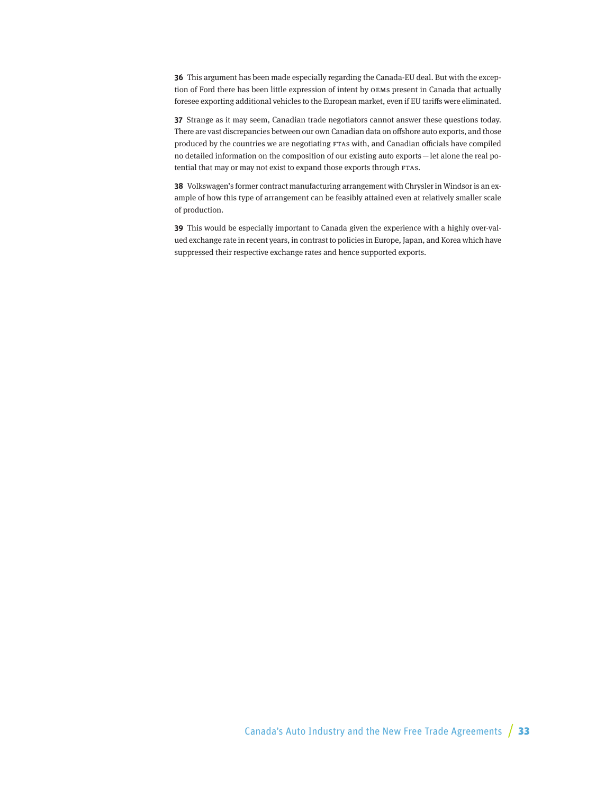**36** This argument has been made especially regarding the Canada-EU deal. But with the exception of Ford there has been little expression of intent by OEMs present in Canada that actually foresee exporting additional vehicles to the European market, even if EU tariffs were eliminated.

**37** Strange as it may seem, Canadian trade negotiators cannot answer these questions today. There are vast discrepancies between our own Canadian data on offshore auto exports, and those produced by the countries we are negotiating FTAs with, and Canadian officials have compiled no detailed information on the composition of our existing auto exports—let alone the real potential that may or may not exist to expand those exports through FTAs.

**38** Volkswagen's former contract manufacturing arrangement with Chrysler in Windsor is an example of how this type of arrangement can be feasibly attained even at relatively smaller scale of production.

**39** This would be especially important to Canada given the experience with a highly over-valued exchange rate in recent years, in contrast to policies in Europe, Japan, and Korea which have suppressed their respective exchange rates and hence supported exports.